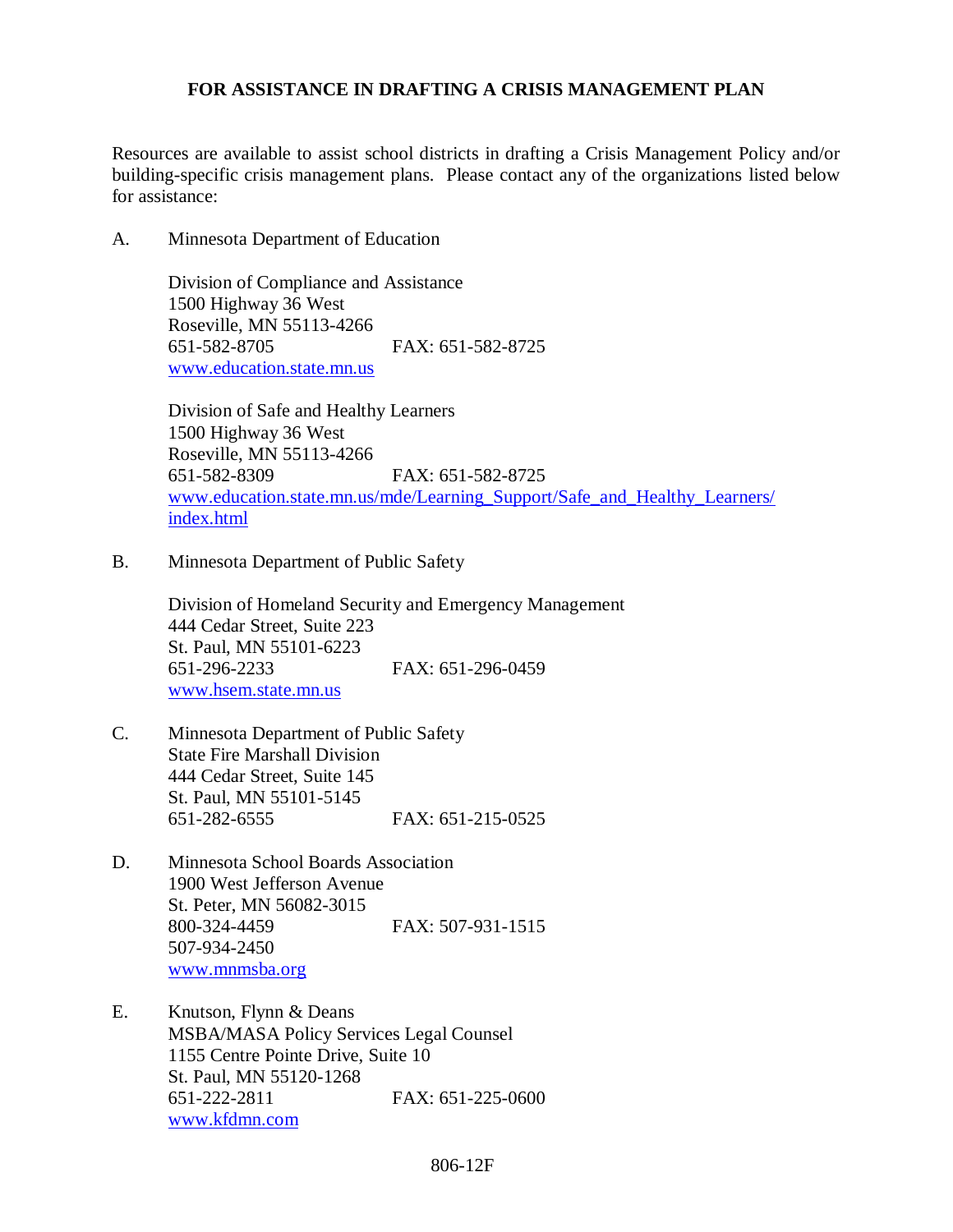## **FOR ASSISTANCE IN DRAFTING A CRISIS MANAGEMENT PLAN**

Resources are available to assist school districts in drafting a Crisis Management Policy and/or building-specific crisis management plans. Please contact any of the organizations listed below for assistance:

A. Minnesota Department of Education

Division of Compliance and Assistance 1500 Highway 36 West Roseville, MN 55113-4266 651-582-8705 FAX: 651-582-8725 [www.education.state.mn.us](http://www.education.state.mn.us/)

Division of Safe and Healthy Learners 1500 Highway 36 West Roseville, MN 55113-4266 651-582-8309 FAX: 651-582-8725 [www.education.state.mn.us/mde/Learning\\_Support/Safe\\_and\\_Healthy\\_Learners/](http://www.education.state.mn.us/mde/Learning_Support/Safe_and_Healthy_Learners/%20index.html)  [index.html](http://www.education.state.mn.us/mde/Learning_Support/Safe_and_Healthy_Learners/%20index.html)

B. Minnesota Department of Public Safety

Division of Homeland Security and Emergency Management 444 Cedar Street, Suite 223 St. Paul, MN 55101-6223 651-296-2233 FAX: 651-296-0459 [www.hsem.state.mn.us](http://www.hsem.state.mn.us/)

- C. Minnesota Department of Public Safety State Fire Marshall Division 444 Cedar Street, Suite 145 St. Paul, MN 55101-5145 651-282-6555 FAX: 651-215-0525
- D. Minnesota School Boards Association 1900 West Jefferson Avenue St. Peter, MN 56082-3015 800-324-4459 FAX: 507-931-1515 507-934-2450 [www.mnmsba.org](http://www.mnmsba.org/)
- E. Knutson, Flynn & Deans MSBA/MASA Policy Services Legal Counsel 1155 Centre Pointe Drive, Suite 10 St. Paul, MN 55120-1268 651-222-2811 FAX: 651-225-0600 [www.kfdmn.com](http://www.kfdmn.com/)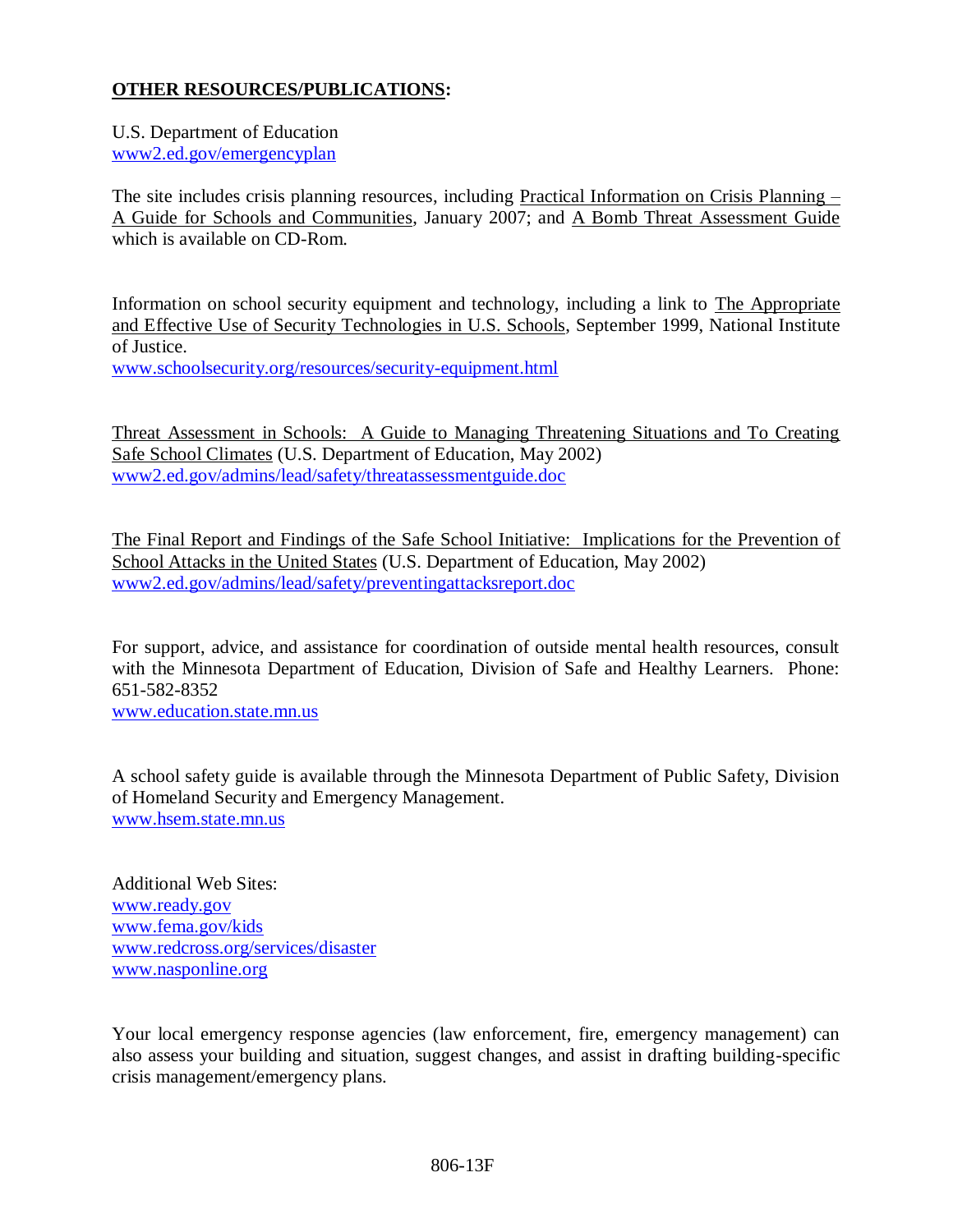# **OTHER RESOURCES/PUBLICATIONS:**

# U.S. Department of Education

[www2.ed.gov/emergencyplan](http://www.ed.gov/emergencyplan)

The site includes crisis planning resources, including Practical Information on Crisis Planning – A Guide for Schools and Communities, January 2007; and A Bomb Threat Assessment Guide which is available on CD-Rom.

Information on school security equipment and technology, including a link to The Appropriate and Effective Use of Security Technologies in U.S. Schools, September 1999, National Institute of Justice.

www.schoolsecurity.org/resources/security-equipment.html

Threat Assessment in Schools: A Guide to Managing Threatening Situations and To Creating Safe School Climates (U.S. Department of Education, May 2002) [www2.ed.gov/admins/lead/safety/threatassessmentguide.doc](http://www.ed.gov/gov/admins/lead/safety/threatassessmentguide.doc)

The Final Report and Findings of the Safe School Initiative: Implications for the Prevention of School Attacks in the United States (U.S. Department of Education, May 2002) [www2.ed.gov/admins/lead/safety/preventingattacksreport.doc](http://www.ed.gov/admins/lead/safety/preventingattacksreport.doc)

For support, advice, and assistance for coordination of outside mental health resources, consult with the Minnesota Department of Education, Division of Safe and Healthy Learners. Phone: 651-582-8352

[www.education.state.mn.us](http://www.education.state.mn.us/)

A school safety guide is available through the Minnesota Department of Public Safety, Division of Homeland Security and Emergency Management. [www.hsem.state.mn.us](http://www.hsem.state.mn.us/)

Additional Web Sites: [www.ready.gov](http://www.ready.gov/) [www.fema.gov/kids](http://www.fema.gov/kids/) [www.redcross.org/services/disaster](http://www.redcross.org/services/disaster) [www.nasponline.org](http://www.nasponline.org/)

Your local emergency response agencies (law enforcement, fire, emergency management) can also assess your building and situation, suggest changes, and assist in drafting building-specific crisis management/emergency plans.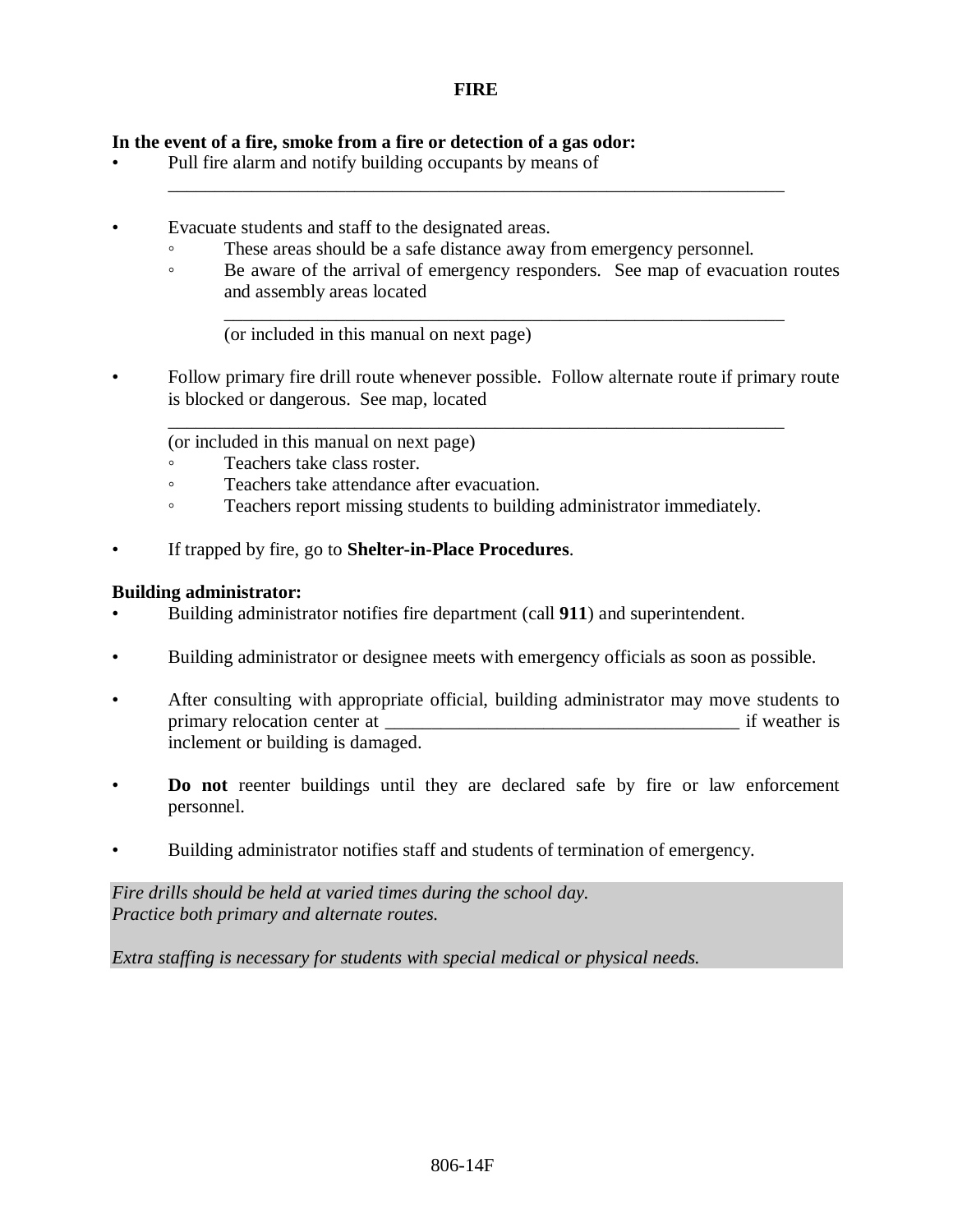\_\_\_\_\_\_\_\_\_\_\_\_\_\_\_\_\_\_\_\_\_\_\_\_\_\_\_\_\_\_\_\_\_\_\_\_\_\_\_\_\_\_\_\_\_\_\_\_\_\_\_\_\_\_\_\_\_\_\_\_\_\_\_\_\_\_

### **In the event of a fire, smoke from a fire or detection of a gas odor:**

- Pull fire alarm and notify building occupants by means of
- Evacuate students and staff to the designated areas.
	- These areas should be a safe distance away from emergency personnel.
	- Be aware of the arrival of emergency responders. See map of evacuation routes and assembly areas located

\_\_\_\_\_\_\_\_\_\_\_\_\_\_\_\_\_\_\_\_\_\_\_\_\_\_\_\_\_\_\_\_\_\_\_\_\_\_\_\_\_\_\_\_\_\_\_\_\_\_\_\_\_\_\_\_\_\_\_\_

(or included in this manual on next page)

• Follow primary fire drill route whenever possible. Follow alternate route if primary route is blocked or dangerous. See map, located

\_\_\_\_\_\_\_\_\_\_\_\_\_\_\_\_\_\_\_\_\_\_\_\_\_\_\_\_\_\_\_\_\_\_\_\_\_\_\_\_\_\_\_\_\_\_\_\_\_\_\_\_\_\_\_\_\_\_\_\_\_\_\_\_\_\_

(or included in this manual on next page)

- Teachers take class roster.
- Teachers take attendance after evacuation.
- Teachers report missing students to building administrator immediately.
- If trapped by fire, go to **Shelter-in-Place Procedures**.

#### **Building administrator:**

- Building administrator notifies fire department (call **911**) and superintendent.
- Building administrator or designee meets with emergency officials as soon as possible.
- After consulting with appropriate official, building administrator may move students to primary relocation center at \_\_\_\_\_\_\_\_\_\_\_\_\_\_\_\_\_\_\_\_\_\_\_\_\_\_\_\_\_\_\_\_\_\_\_\_\_\_ if weather is inclement or building is damaged.
- **Do not** reenter buildings until they are declared safe by fire or law enforcement personnel.
- Building administrator notifies staff and students of termination of emergency.

*Fire drills should be held at varied times during the school day. Practice both primary and alternate routes.*

*Extra staffing is necessary for students with special medical or physical needs.*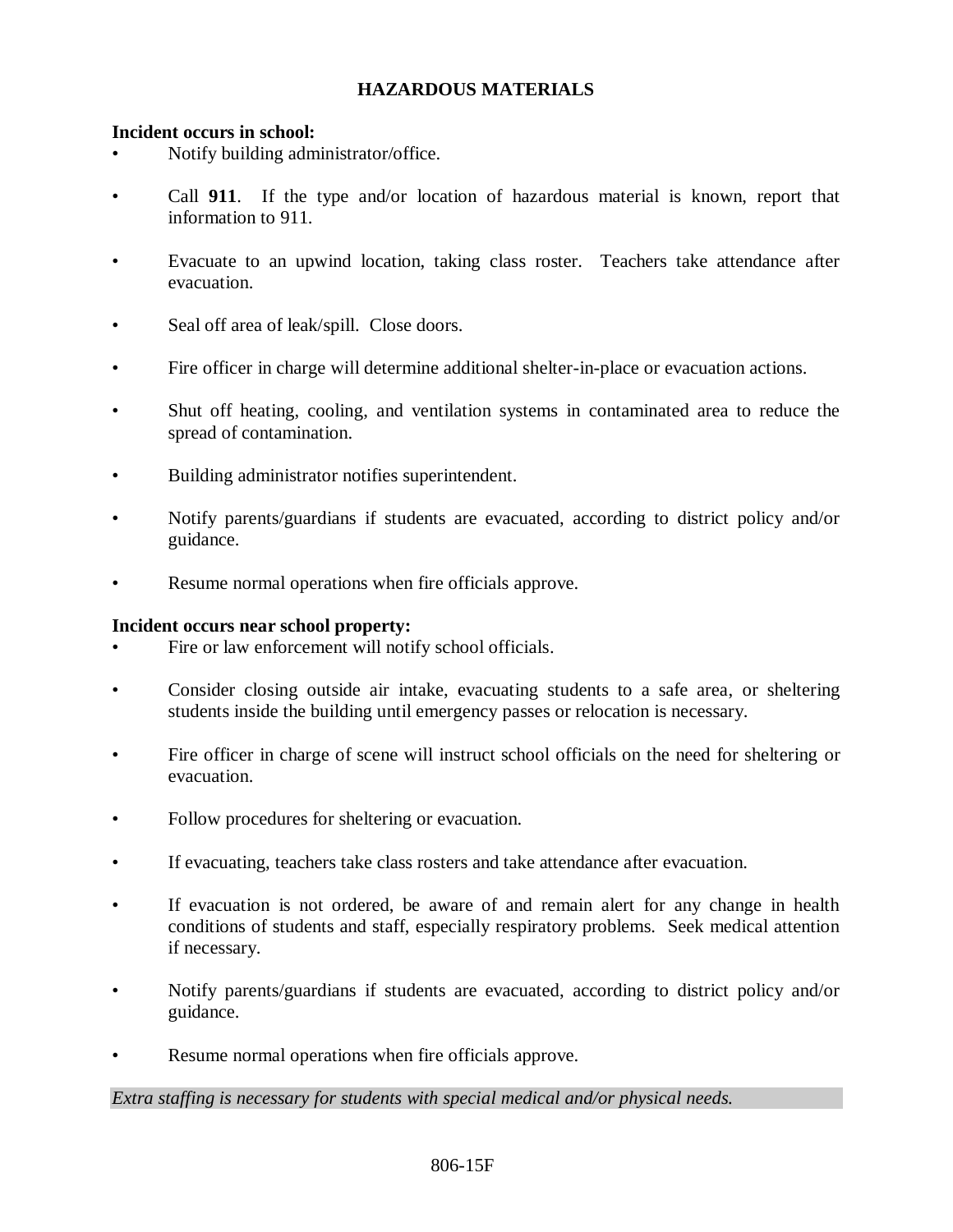# **HAZARDOUS MATERIALS**

### **Incident occurs in school:**

- Notify building administrator/office.
- Call **911**. If the type and/or location of hazardous material is known, report that information to 911.
- Evacuate to an upwind location, taking class roster. Teachers take attendance after evacuation.
- Seal off area of leak/spill. Close doors.
- Fire officer in charge will determine additional shelter-in-place or evacuation actions.
- Shut off heating, cooling, and ventilation systems in contaminated area to reduce the spread of contamination.
- Building administrator notifies superintendent.
- Notify parents/guardians if students are evacuated, according to district policy and/or guidance.
- Resume normal operations when fire officials approve.

### **Incident occurs near school property:**

- Fire or law enforcement will notify school officials.
- Consider closing outside air intake, evacuating students to a safe area, or sheltering students inside the building until emergency passes or relocation is necessary.
- Fire officer in charge of scene will instruct school officials on the need for sheltering or evacuation.
- Follow procedures for sheltering or evacuation.
- If evacuating, teachers take class rosters and take attendance after evacuation.
- If evacuation is not ordered, be aware of and remain alert for any change in health conditions of students and staff, especially respiratory problems. Seek medical attention if necessary.
- Notify parents/guardians if students are evacuated, according to district policy and/or guidance.
- Resume normal operations when fire officials approve.

*Extra staffing is necessary for students with special medical and/or physical needs.*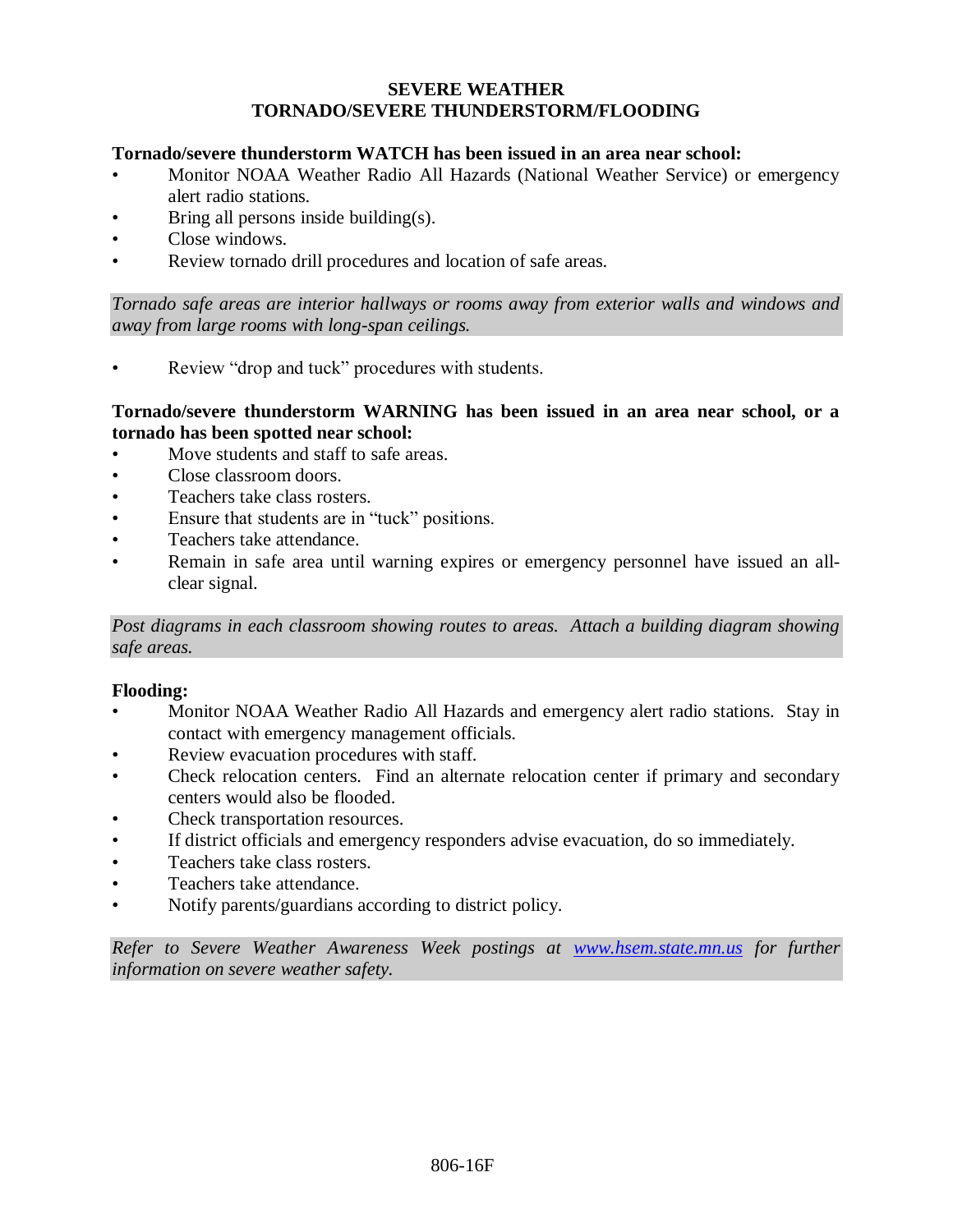### **SEVERE WEATHER TORNADO/SEVERE THUNDERSTORM/FLOODING**

### **Tornado/severe thunderstorm WATCH has been issued in an area near school:**

- Monitor NOAA Weather Radio All Hazards (National Weather Service) or emergency alert radio stations.
- Bring all persons inside building(s).
- Close windows.
- Review tornado drill procedures and location of safe areas.

*Tornado safe areas are interior hallways or rooms away from exterior walls and windows and away from large rooms with long-span ceilings.*

Review "drop and tuck" procedures with students.

### **Tornado/severe thunderstorm WARNING has been issued in an area near school, or a tornado has been spotted near school:**

- Move students and staff to safe areas.
- Close classroom doors.
- Teachers take class rosters.
- Ensure that students are in "tuck" positions.
- Teachers take attendance.
- Remain in safe area until warning expires or emergency personnel have issued an allclear signal.

*Post diagrams in each classroom showing routes to areas. Attach a building diagram showing safe areas.*

### **Flooding:**

- Monitor NOAA Weather Radio All Hazards and emergency alert radio stations. Stay in contact with emergency management officials.
- Review evacuation procedures with staff.
- Check relocation centers. Find an alternate relocation center if primary and secondary centers would also be flooded.
- Check transportation resources.
- If district officials and emergency responders advise evacuation, do so immediately.
- Teachers take class rosters.
- Teachers take attendance.
- Notify parents/guardians according to district policy.

*Refer to Severe Weather Awareness Week postings at [www.hsem.state.mn.us](http://www.hsem.state.mn.us/) for further information on severe weather safety.*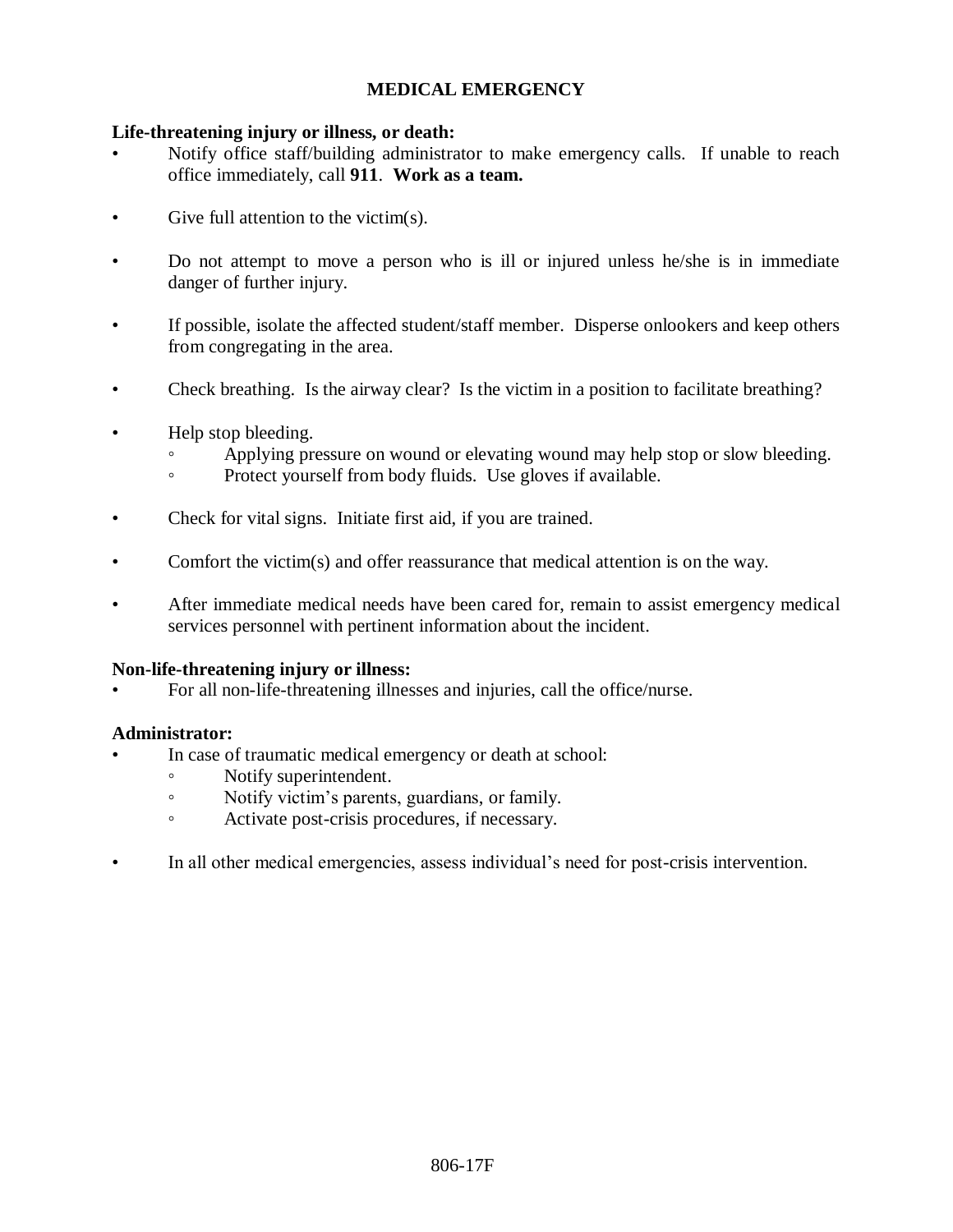# **MEDICAL EMERGENCY**

### **Life-threatening injury or illness, or death:**

- Notify office staff/building administrator to make emergency calls. If unable to reach office immediately, call **911**. **Work as a team.**
- Give full attention to the victim(s).
- Do not attempt to move a person who is ill or injured unless he/she is in immediate danger of further injury.
- If possible, isolate the affected student/staff member. Disperse onlookers and keep others from congregating in the area.
- Check breathing. Is the airway clear? Is the victim in a position to facilitate breathing?
- Help stop bleeding.
	- Applying pressure on wound or elevating wound may help stop or slow bleeding.
	- Protect yourself from body fluids. Use gloves if available.
- Check for vital signs. Initiate first aid, if you are trained.
- Comfort the victim(s) and offer reassurance that medical attention is on the way.
- After immediate medical needs have been cared for, remain to assist emergency medical services personnel with pertinent information about the incident.

### **Non-life-threatening injury or illness:**

• For all non-life-threatening illnesses and injuries, call the office/nurse.

## **Administrator:**

- In case of traumatic medical emergency or death at school:
	- Notify superintendent.
	- Notify victim's parents, guardians, or family.
	- Activate post-crisis procedures, if necessary.
- In all other medical emergencies, assess individual's need for post-crisis intervention.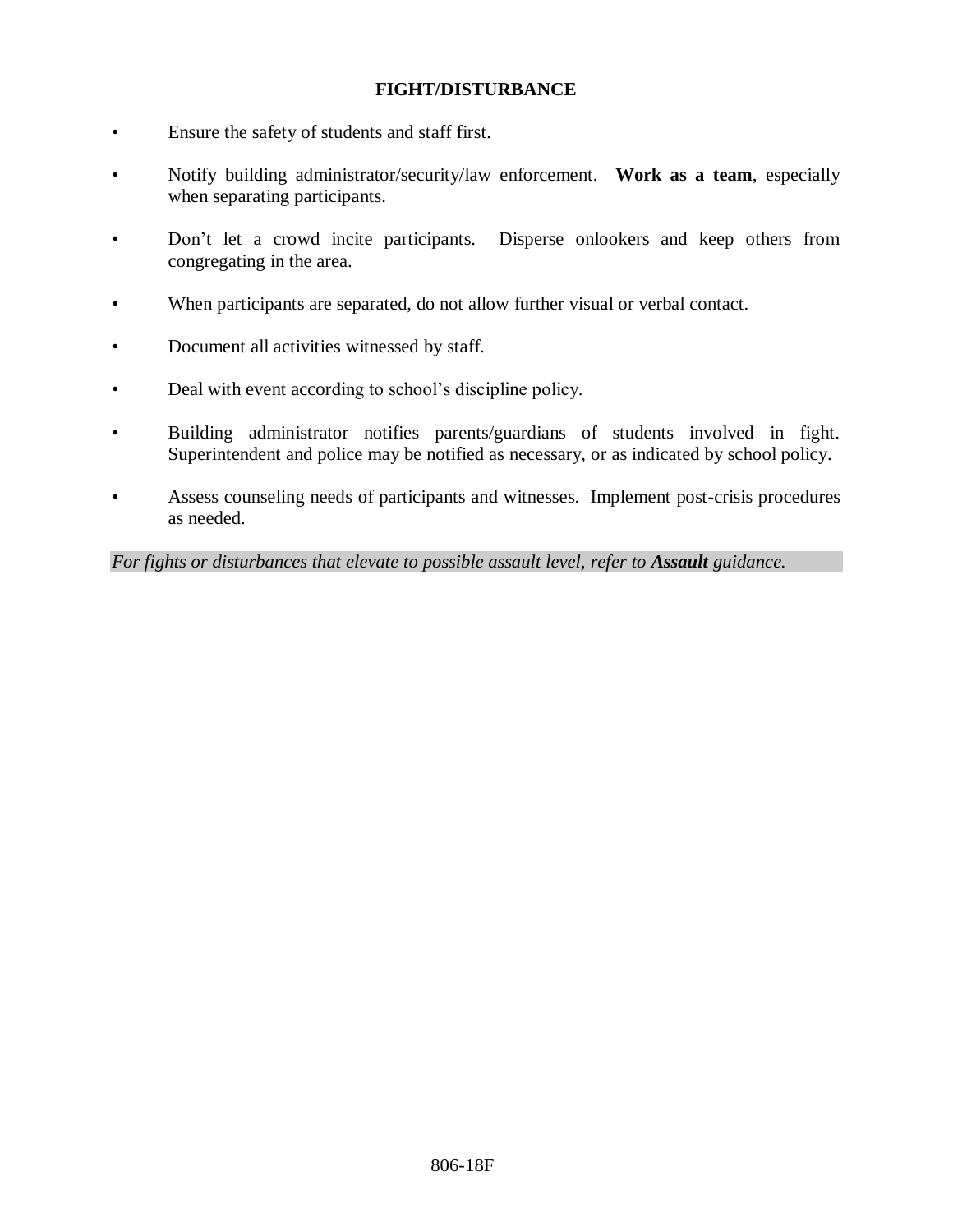### **FIGHT/DISTURBANCE**

- Ensure the safety of students and staff first.
- Notify building administrator/security/law enforcement. **Work as a team**, especially when separating participants.
- Don't let a crowd incite participants. Disperse onlookers and keep others from congregating in the area.
- When participants are separated, do not allow further visual or verbal contact.
- Document all activities witnessed by staff.
- Deal with event according to school's discipline policy.
- Building administrator notifies parents/guardians of students involved in fight. Superintendent and police may be notified as necessary, or as indicated by school policy.
- Assess counseling needs of participants and witnesses. Implement post-crisis procedures as needed.

*For fights or disturbances that elevate to possible assault level, refer to Assault guidance.*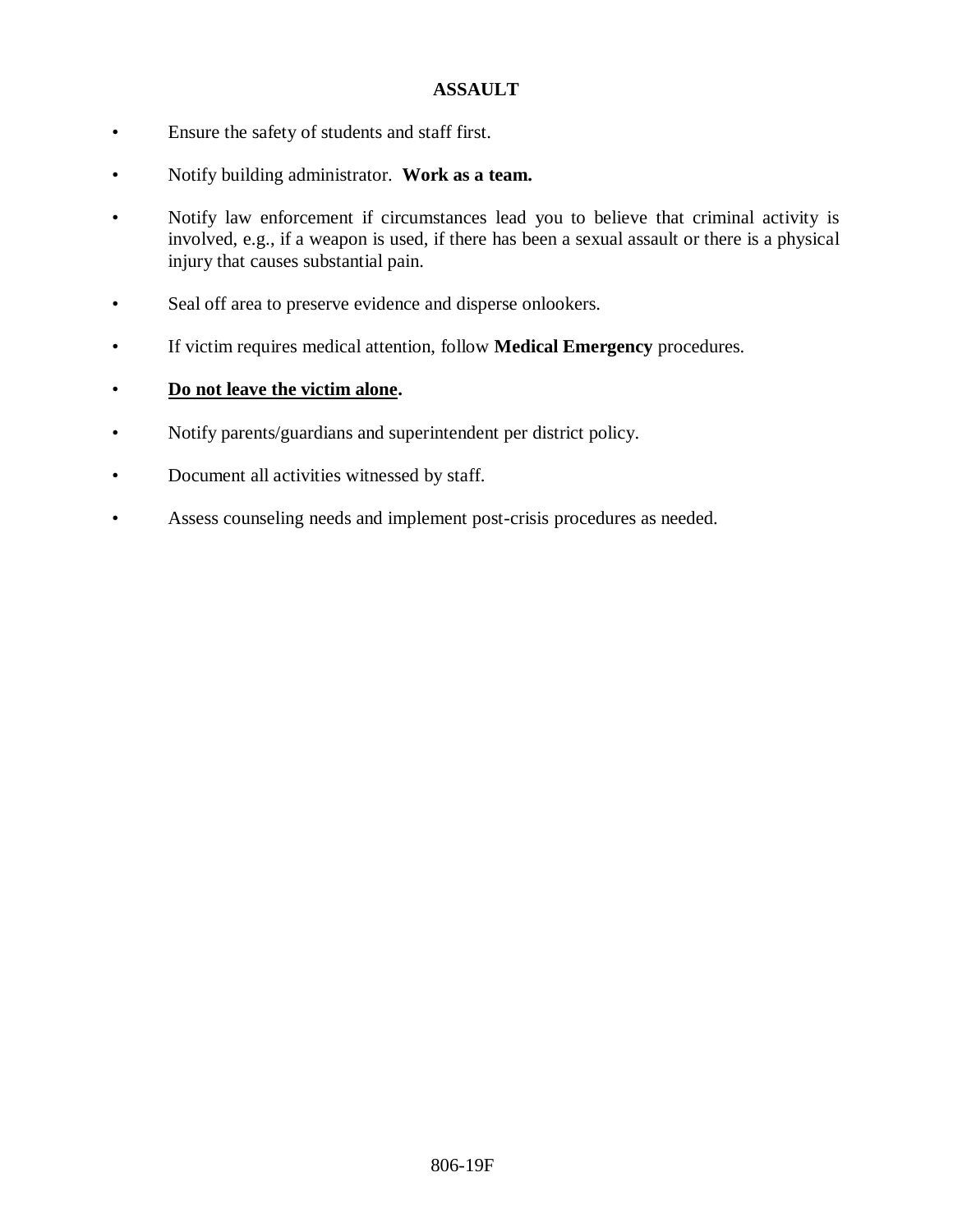## **ASSAULT**

- Ensure the safety of students and staff first.
- Notify building administrator. **Work as a team.**
- Notify law enforcement if circumstances lead you to believe that criminal activity is involved, e.g., if a weapon is used, if there has been a sexual assault or there is a physical injury that causes substantial pain.
- Seal off area to preserve evidence and disperse onlookers.
- If victim requires medical attention, follow **Medical Emergency** procedures.

# • **Do not leave the victim alone.**

- Notify parents/guardians and superintendent per district policy.
- Document all activities witnessed by staff.
- Assess counseling needs and implement post-crisis procedures as needed.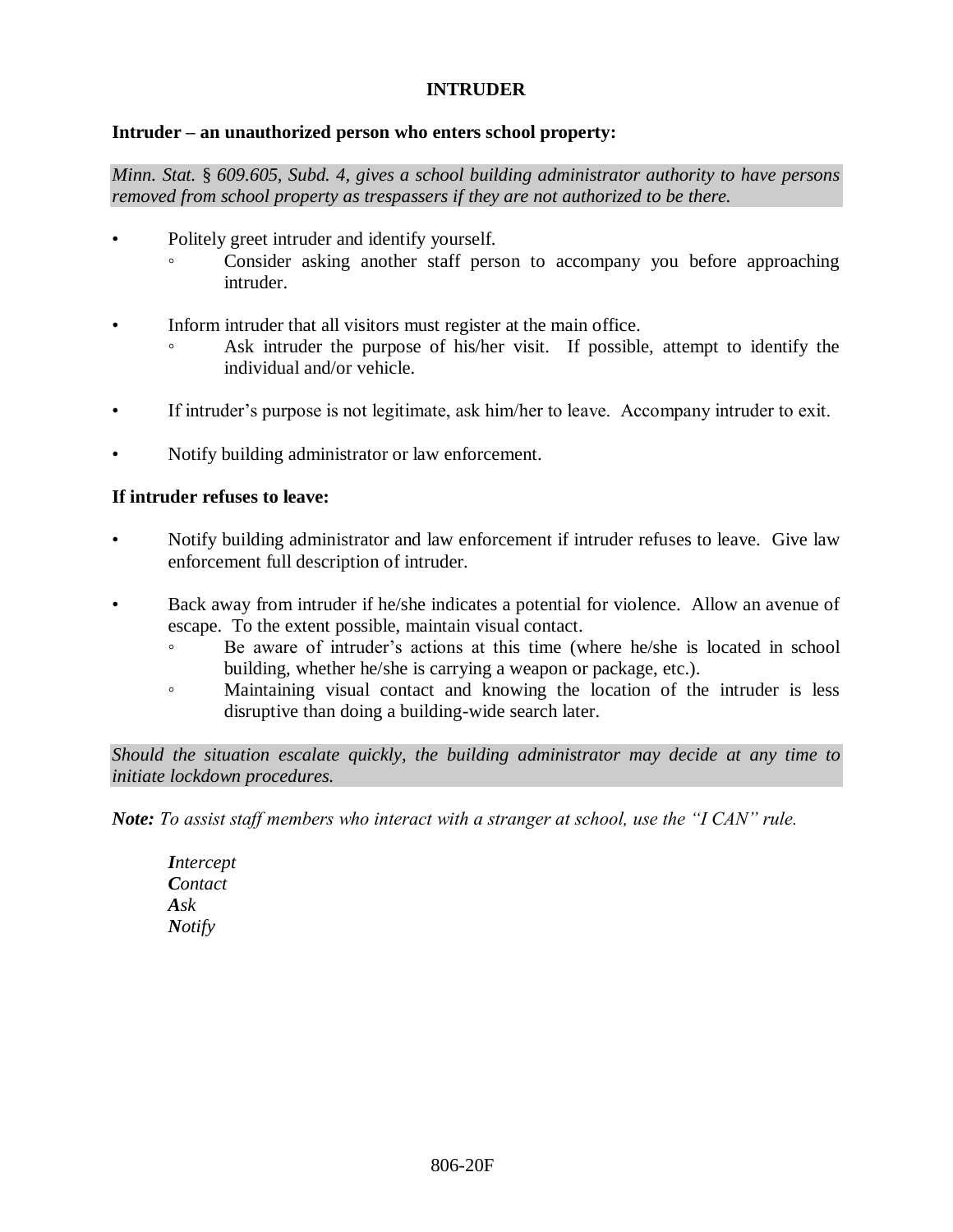## **INTRUDER**

### **Intruder – an unauthorized person who enters school property:**

*Minn. Stat.* § *609.605, Subd. 4, gives a school building administrator authority to have persons removed from school property as trespassers if they are not authorized to be there.*

- Politely greet intruder and identify yourself.
	- Consider asking another staff person to accompany you before approaching intruder.
- Inform intruder that all visitors must register at the main office.
	- Ask intruder the purpose of his/her visit. If possible, attempt to identify the individual and/or vehicle.
- If intruder's purpose is not legitimate, ask him/her to leave. Accompany intruder to exit.
- Notify building administrator or law enforcement.

### **If intruder refuses to leave:**

- Notify building administrator and law enforcement if intruder refuses to leave. Give law enforcement full description of intruder.
- Back away from intruder if he/she indicates a potential for violence. Allow an avenue of escape. To the extent possible, maintain visual contact.
	- Be aware of intruder's actions at this time (where he/she is located in school building, whether he/she is carrying a weapon or package, etc.).
	- Maintaining visual contact and knowing the location of the intruder is less disruptive than doing a building-wide search later.

*Should the situation escalate quickly, the building administrator may decide at any time to initiate lockdown procedures.*

*Note: To assist staff members who interact with a stranger at school, use the "I CAN" rule.*

*Intercept Contact Ask Notify*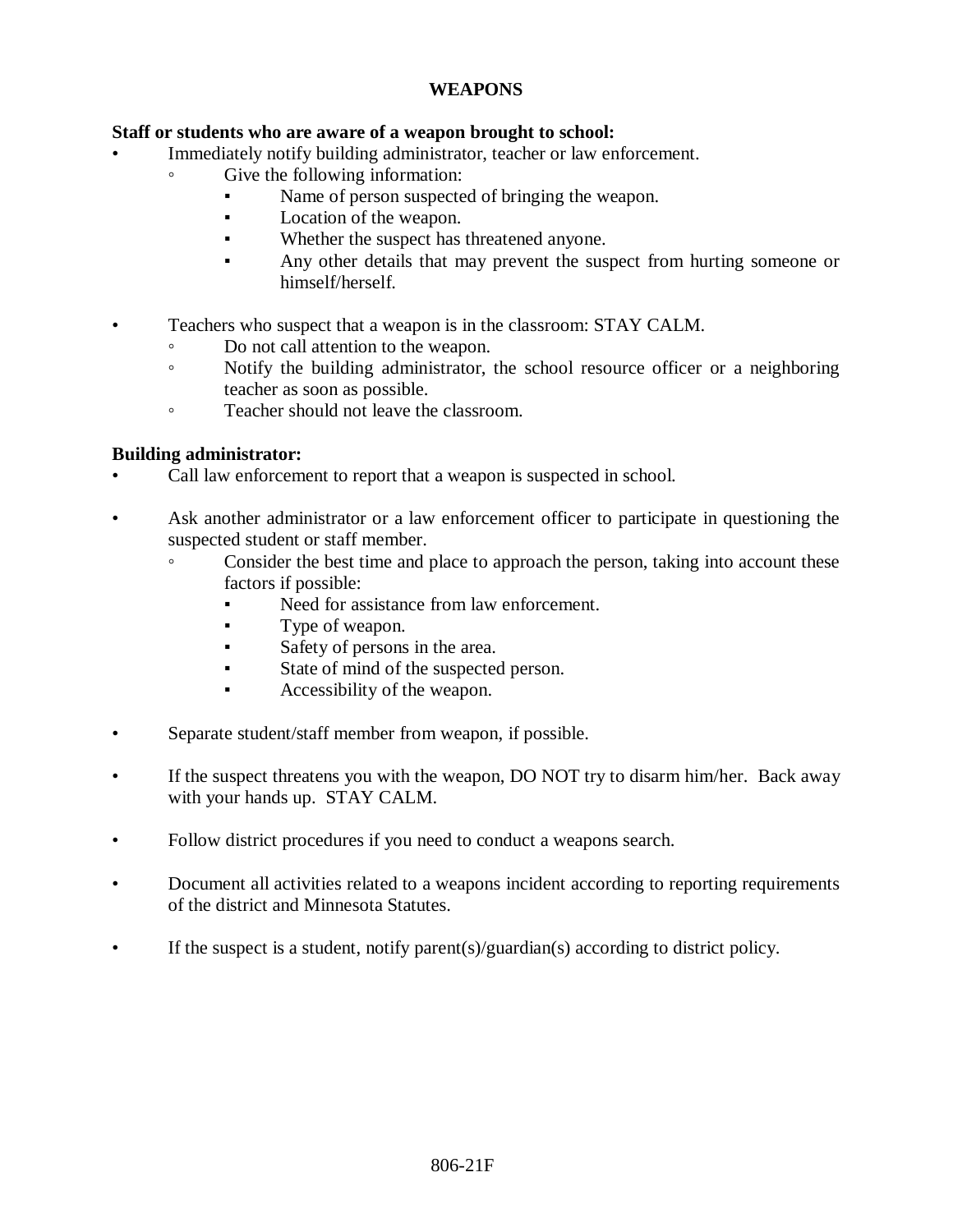## **WEAPONS**

## **Staff or students who are aware of a weapon brought to school:**

- Immediately notify building administrator, teacher or law enforcement.
	- Give the following information:
		- Name of person suspected of bringing the weapon.
		- Location of the weapon.
		- Whether the suspect has threatened anyone.
		- Any other details that may prevent the suspect from hurting someone or himself/herself.
- Teachers who suspect that a weapon is in the classroom: STAY CALM.
	- Do not call attention to the weapon.
	- Notify the building administrator, the school resource officer or a neighboring teacher as soon as possible.
	- Teacher should not leave the classroom.

## **Building administrator:**

- Call law enforcement to report that a weapon is suspected in school.
- Ask another administrator or a law enforcement officer to participate in questioning the suspected student or staff member.
	- Consider the best time and place to approach the person, taking into account these factors if possible:
		- Need for assistance from law enforcement.
		- Type of weapon.
		- Safety of persons in the area.
		- State of mind of the suspected person.
		- Accessibility of the weapon.
- Separate student/staff member from weapon, if possible.
- If the suspect threatens you with the weapon, DO NOT try to disarm him/her. Back away with your hands up. STAY CALM.
- Follow district procedures if you need to conduct a weapons search.
- Document all activities related to a weapons incident according to reporting requirements of the district and Minnesota Statutes.
- If the suspect is a student, notify parent(s)/guardian(s) according to district policy.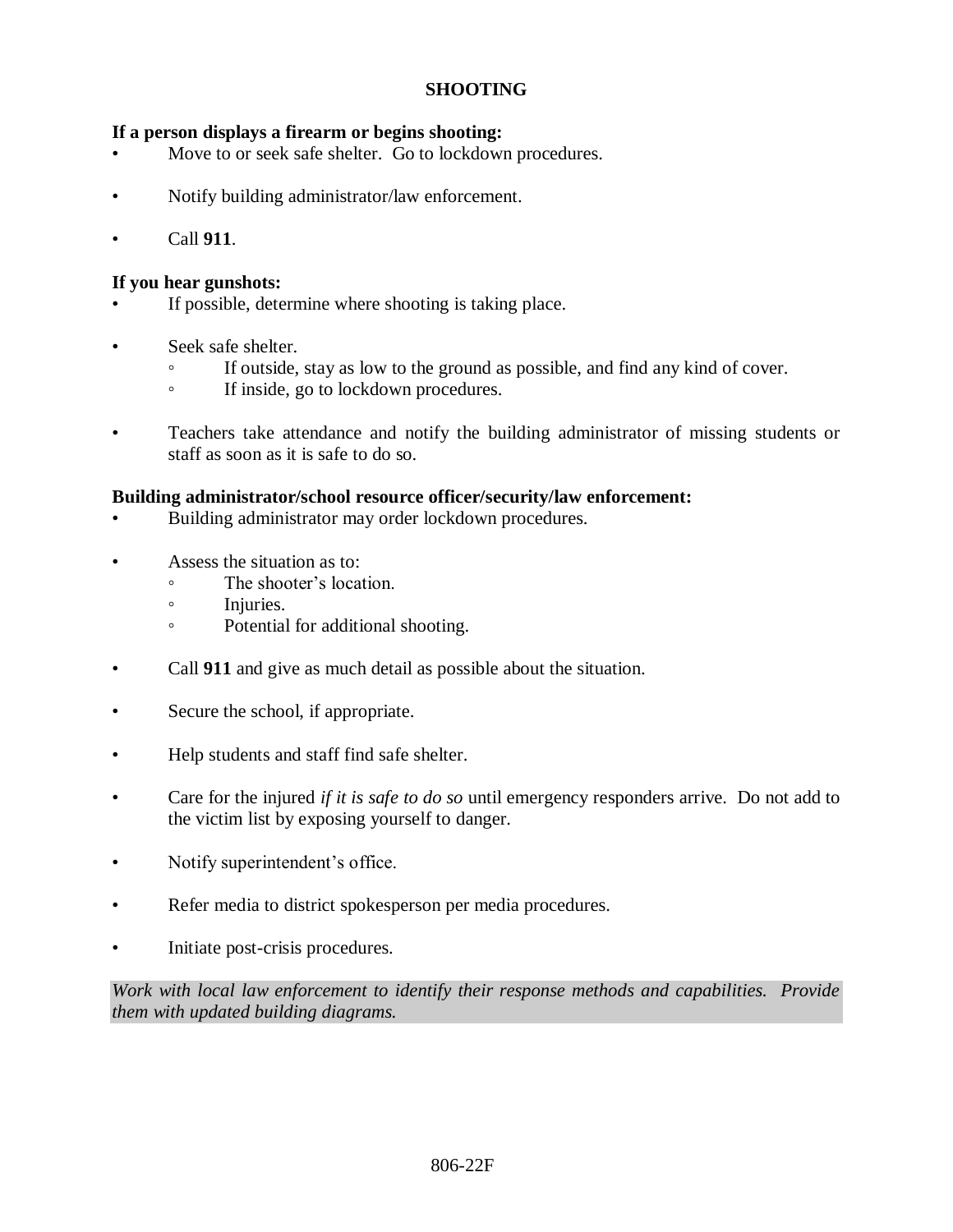## **SHOOTING**

## **If a person displays a firearm or begins shooting:**

- Move to or seek safe shelter. Go to lockdown procedures.
- Notify building administrator/law enforcement.
- Call **911**.

## **If you hear gunshots:**

- If possible, determine where shooting is taking place.
- Seek safe shelter.
	- If outside, stay as low to the ground as possible, and find any kind of cover.
	- If inside, go to lockdown procedures.
- Teachers take attendance and notify the building administrator of missing students or staff as soon as it is safe to do so.

### **Building administrator/school resource officer/security/law enforcement:**

- Building administrator may order lockdown procedures.
- Assess the situation as to:
	- The shooter's location.
	- Injuries.
	- Potential for additional shooting.
- Call **911** and give as much detail as possible about the situation.
- Secure the school, if appropriate.
- Help students and staff find safe shelter.
- Care for the injured *if it is safe to do so* until emergency responders arrive. Do not add to the victim list by exposing yourself to danger.
- Notify superintendent's office.
- Refer media to district spokesperson per media procedures.
- Initiate post-crisis procedures.

*Work with local law enforcement to identify their response methods and capabilities. Provide them with updated building diagrams.*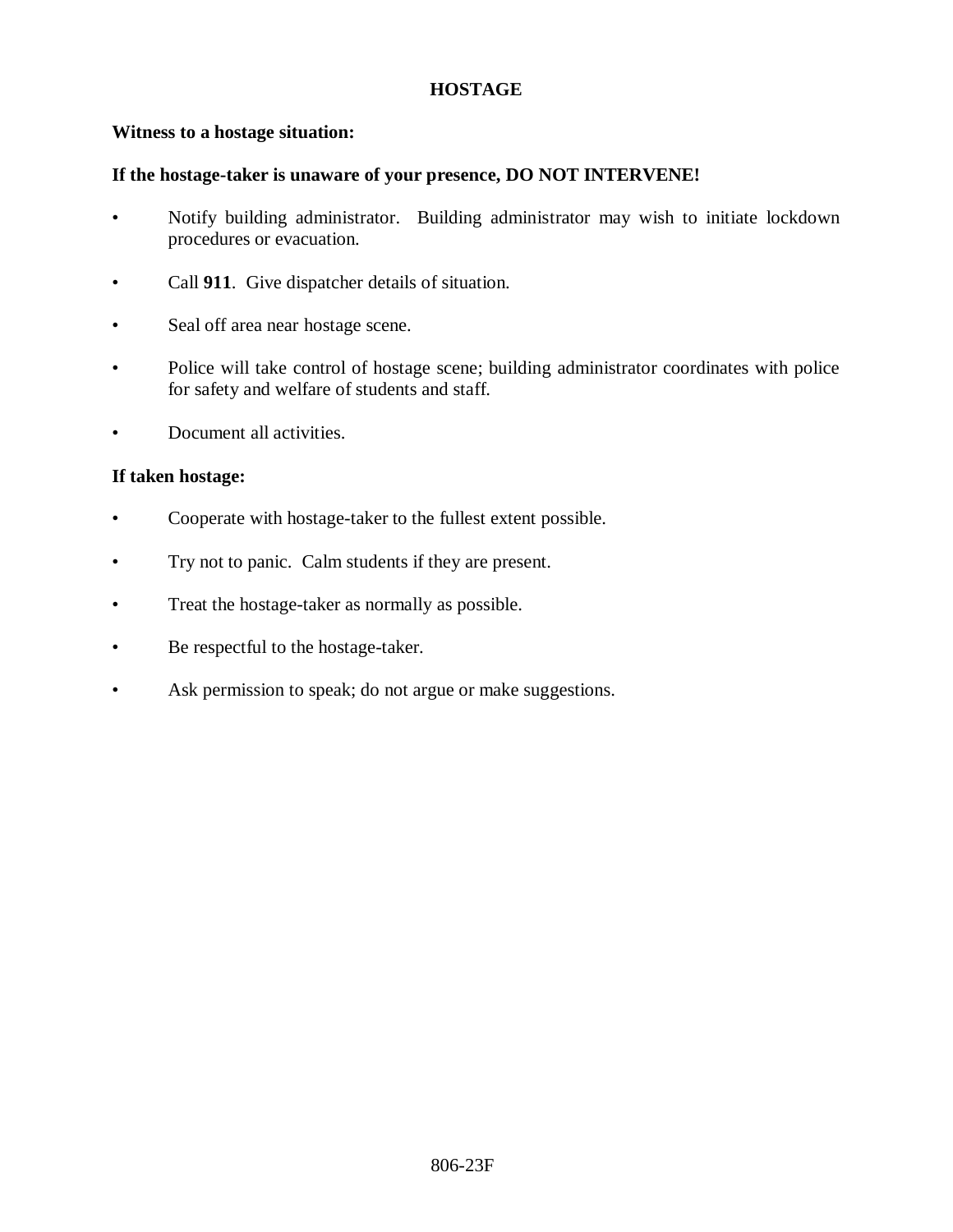## **HOSTAGE**

## **Witness to a hostage situation:**

### **If the hostage-taker is unaware of your presence, DO NOT INTERVENE!**

- Notify building administrator. Building administrator may wish to initiate lockdown procedures or evacuation.
- Call **911**. Give dispatcher details of situation.
- Seal off area near hostage scene.
- Police will take control of hostage scene; building administrator coordinates with police for safety and welfare of students and staff.
- Document all activities.

### **If taken hostage:**

- Cooperate with hostage-taker to the fullest extent possible.
- Try not to panic. Calm students if they are present.
- Treat the hostage-taker as normally as possible.
- Be respectful to the hostage-taker.
- Ask permission to speak; do not argue or make suggestions.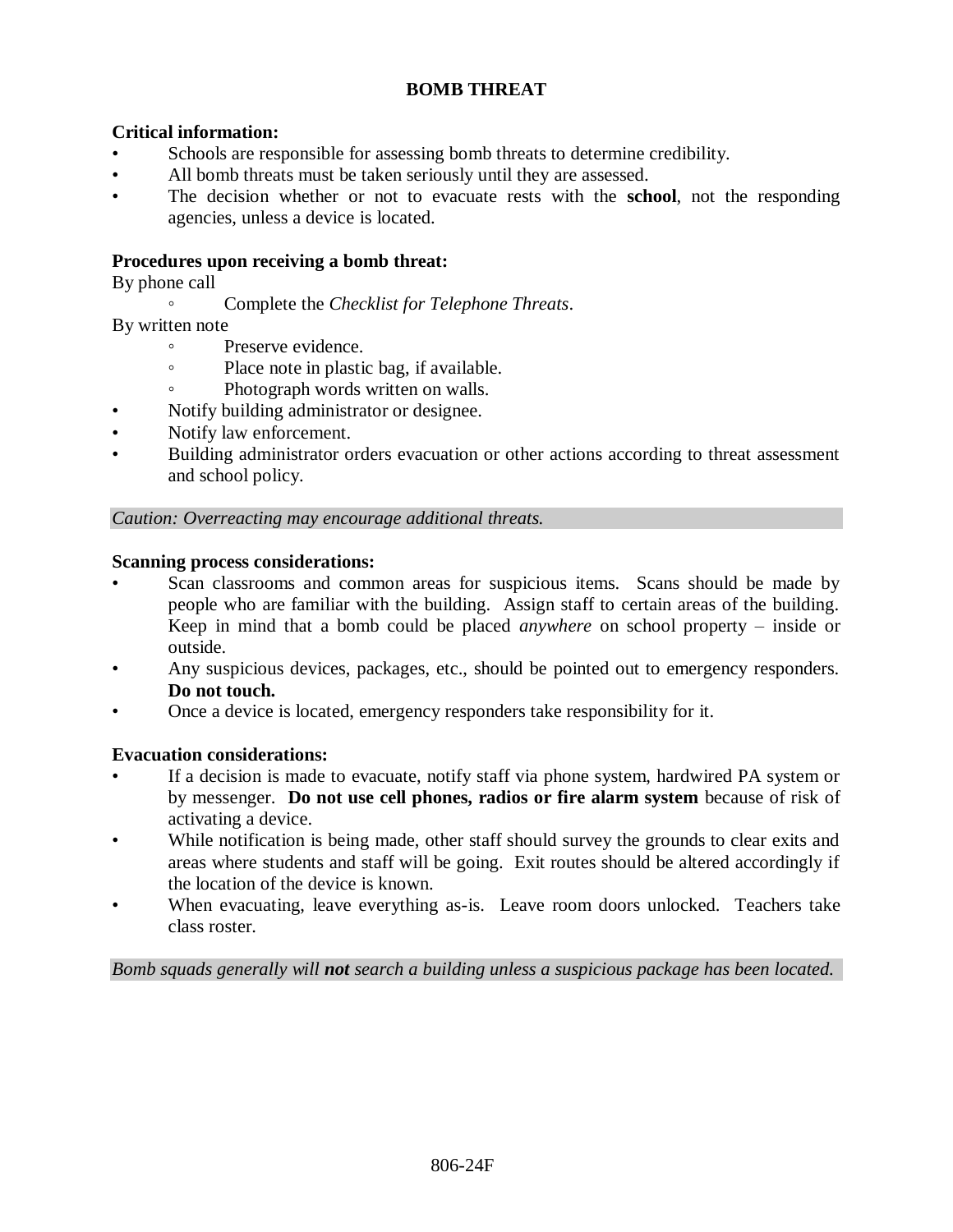# **BOMB THREAT**

## **Critical information:**

- Schools are responsible for assessing bomb threats to determine credibility.
- All bomb threats must be taken seriously until they are assessed.
- The decision whether or not to evacuate rests with the **school**, not the responding agencies, unless a device is located.

### **Procedures upon receiving a bomb threat:**

By phone call

◦ Complete the *Checklist for Telephone Threats*.

By written note

- Preserve evidence.
- Place note in plastic bag, if available.
- Photograph words written on walls.
- Notify building administrator or designee.
- Notify law enforcement.
- Building administrator orders evacuation or other actions according to threat assessment and school policy.

### *Caution: Overreacting may encourage additional threats.*

#### **Scanning process considerations:**

- Scan classrooms and common areas for suspicious items. Scans should be made by people who are familiar with the building. Assign staff to certain areas of the building. Keep in mind that a bomb could be placed *anywhere* on school property – inside or outside.
- Any suspicious devices, packages, etc., should be pointed out to emergency responders. **Do not touch.**
- Once a device is located, emergency responders take responsibility for it.

### **Evacuation considerations:**

- If a decision is made to evacuate, notify staff via phone system, hardwired PA system or by messenger. **Do not use cell phones, radios or fire alarm system** because of risk of activating a device.
- While notification is being made, other staff should survey the grounds to clear exits and areas where students and staff will be going. Exit routes should be altered accordingly if the location of the device is known.
- When evacuating, leave everything as-is. Leave room doors unlocked. Teachers take class roster.

*Bomb squads generally will not search a building unless a suspicious package has been located.*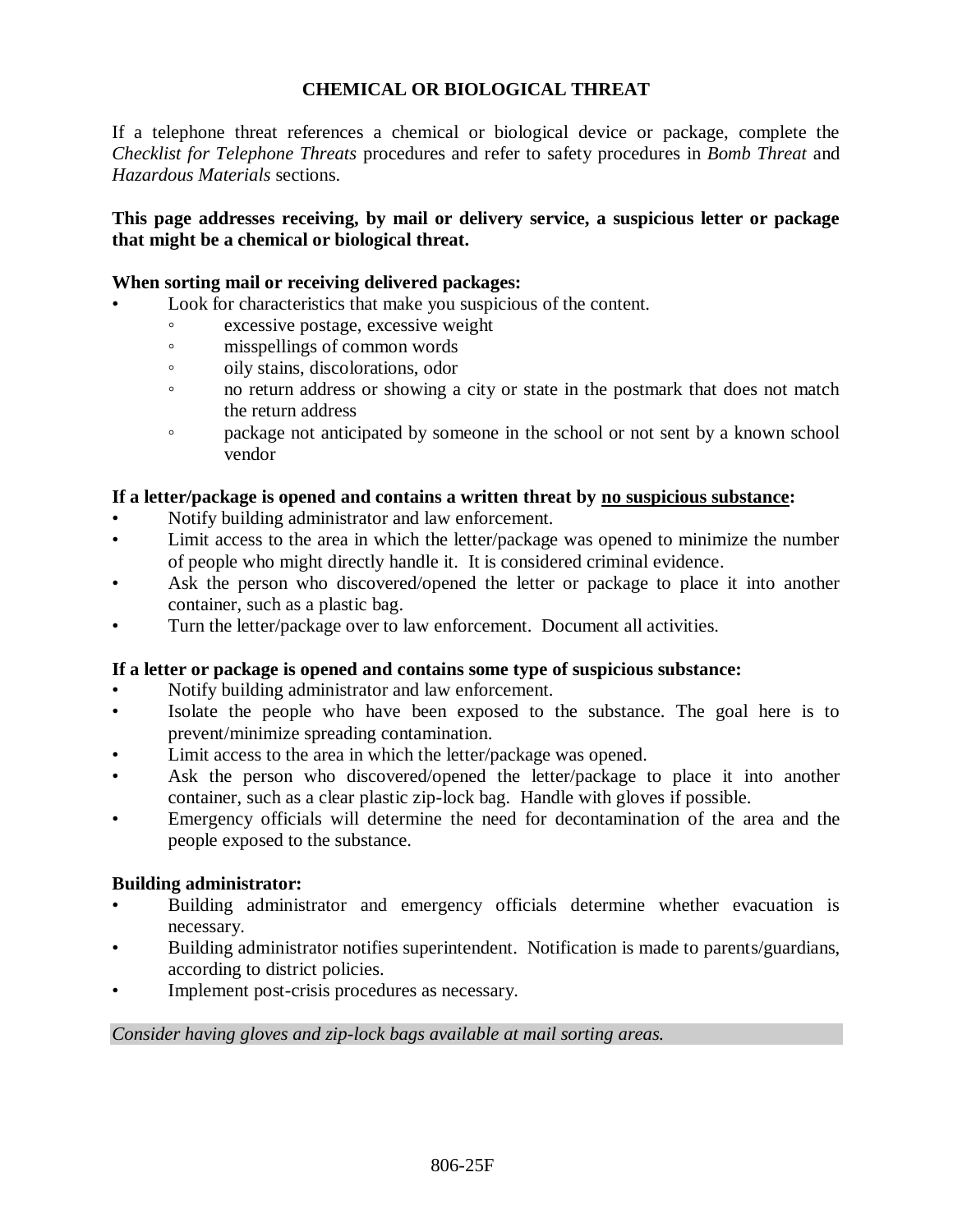# **CHEMICAL OR BIOLOGICAL THREAT**

If a telephone threat references a chemical or biological device or package, complete the *Checklist for Telephone Threats* procedures and refer to safety procedures in *Bomb Threat* and *Hazardous Materials* sections.

## **This page addresses receiving, by mail or delivery service, a suspicious letter or package that might be a chemical or biological threat.**

### **When sorting mail or receiving delivered packages:**

- Look for characteristics that make you suspicious of the content.
	- excessive postage, excessive weight
	- misspellings of common words
	- oily stains, discolorations, odor
	- no return address or showing a city or state in the postmark that does not match the return address
	- package not anticipated by someone in the school or not sent by a known school vendor

### **If a letter/package is opened and contains a written threat by no suspicious substance:**

- Notify building administrator and law enforcement.
- Limit access to the area in which the letter/package was opened to minimize the number of people who might directly handle it. It is considered criminal evidence.
- Ask the person who discovered/opened the letter or package to place it into another container, such as a plastic bag.
- Turn the letter/package over to law enforcement. Document all activities.

### **If a letter or package is opened and contains some type of suspicious substance:**

- Notify building administrator and law enforcement.
- Isolate the people who have been exposed to the substance. The goal here is to prevent/minimize spreading contamination.
- Limit access to the area in which the letter/package was opened.
- Ask the person who discovered/opened the letter/package to place it into another container, such as a clear plastic zip-lock bag. Handle with gloves if possible.
- Emergency officials will determine the need for decontamination of the area and the people exposed to the substance.

### **Building administrator:**

- Building administrator and emergency officials determine whether evacuation is necessary.
- Building administrator notifies superintendent. Notification is made to parents/guardians, according to district policies.
- Implement post-crisis procedures as necessary.

### *Consider having gloves and zip-lock bags available at mail sorting areas.*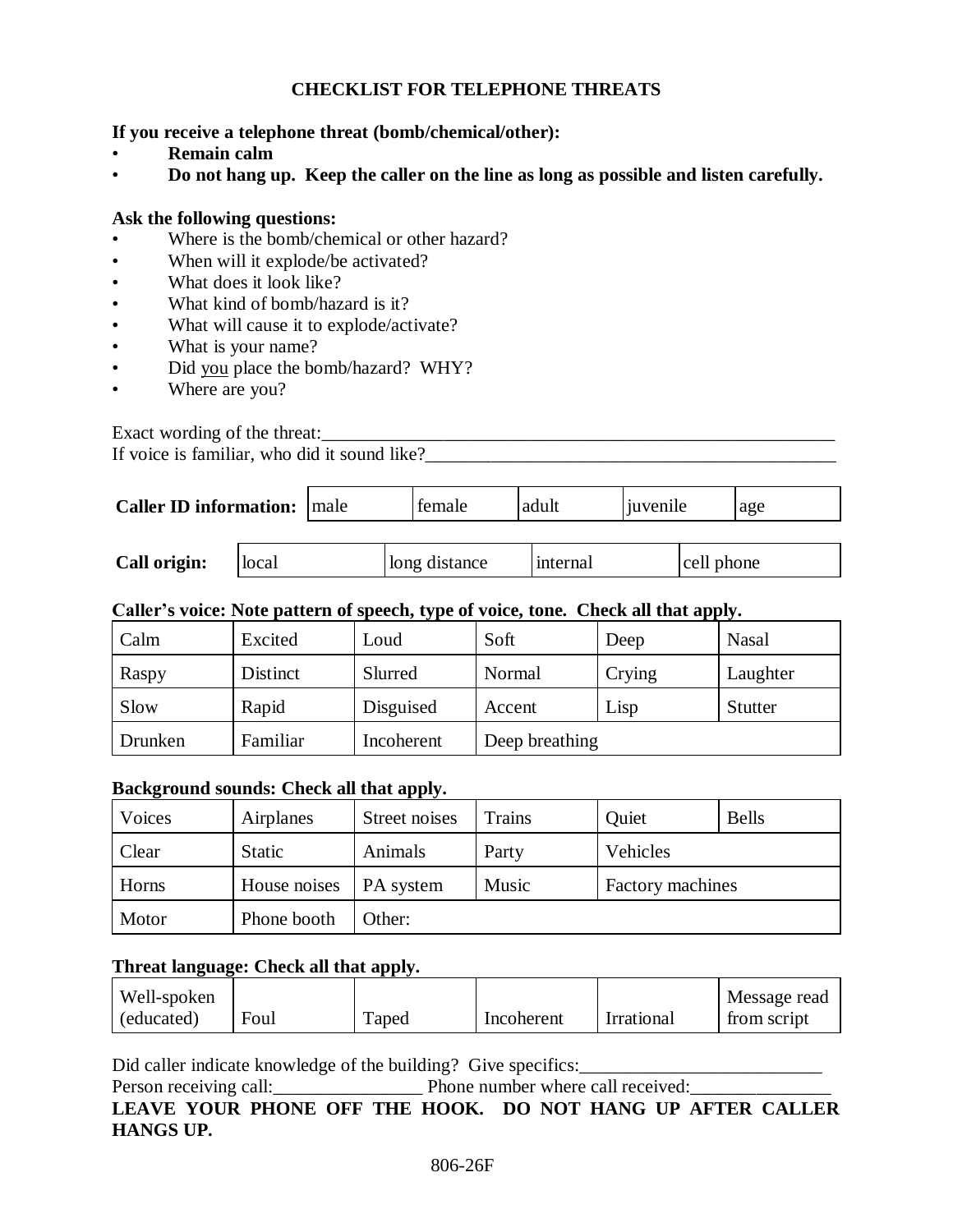# **CHECKLIST FOR TELEPHONE THREATS**

### **If you receive a telephone threat (bomb/chemical/other):**

- **Remain calm**
- **Do not hang up. Keep the caller on the line as long as possible and listen carefully.**

### **Ask the following questions:**

- Where is the bomb/chemical or other hazard?
- When will it explode/be activated?
- What does it look like?
- What kind of bomb/hazard is it?
- What will cause it to explode/activate?
- What is your name?
- Did you place the bomb/hazard? WHY?
- Where are you?

Exact wording of the threat:\_\_\_\_\_\_\_\_\_\_\_\_\_\_\_\_\_\_\_\_\_\_\_\_\_\_\_\_\_\_\_\_\_\_\_\_\_\_\_\_\_\_\_\_\_\_\_\_\_\_\_\_\_\_\_

If voice is familiar, who did it sound like? $\overline{\phantom{a}}$ 

| <b>Caller ID information:</b> male |       | female        | adult    | juvenile |            | age |
|------------------------------------|-------|---------------|----------|----------|------------|-----|
| Call origin:                       | local | long distance | internal |          | cell phone |     |

## **Caller's voice: Note pattern of speech, type of voice, tone. Check all that apply.**

| Calm    | Excited  | Loud       | Soft           | Deep   | <b>Nasal</b>   |
|---------|----------|------------|----------------|--------|----------------|
| Raspy   | Distinct | Slurred    | Normal         | Crying | Laughter       |
| Slow    | Rapid    | Disguised  | Accent         | Lisp   | <b>Stutter</b> |
| Drunken | Familiar | Incoherent | Deep breathing |        |                |

### **Background sounds: Check all that apply.**

| Voices | Airplanes     | Street noises    | Trains                    | Quiet    | <b>Bells</b> |
|--------|---------------|------------------|---------------------------|----------|--------------|
| Clear  | <b>Static</b> | Animals          | Party                     | Vehicles |              |
| Horns  | House noises  | <b>PA</b> system | Music<br>Factory machines |          |              |
| Motor  | Phone booth   | Other:           |                           |          |              |

### **Threat language: Check all that apply.**

| Well-spoken |      |       |            |            | Message read |
|-------------|------|-------|------------|------------|--------------|
| (educated)  | Foul | Taped | Incoherent | Irrational | trom script  |

Did caller indicate knowledge of the building? Give specifics:\_\_\_\_\_\_\_\_\_\_\_\_\_\_\_\_\_\_\_\_\_\_\_\_\_\_

Person receiving call:\_\_\_\_\_\_\_\_\_\_\_\_\_\_\_\_ Phone number where call received:\_\_\_\_\_\_\_\_\_\_\_\_\_\_\_

**LEAVE YOUR PHONE OFF THE HOOK. DO NOT HANG UP AFTER CALLER HANGS UP.**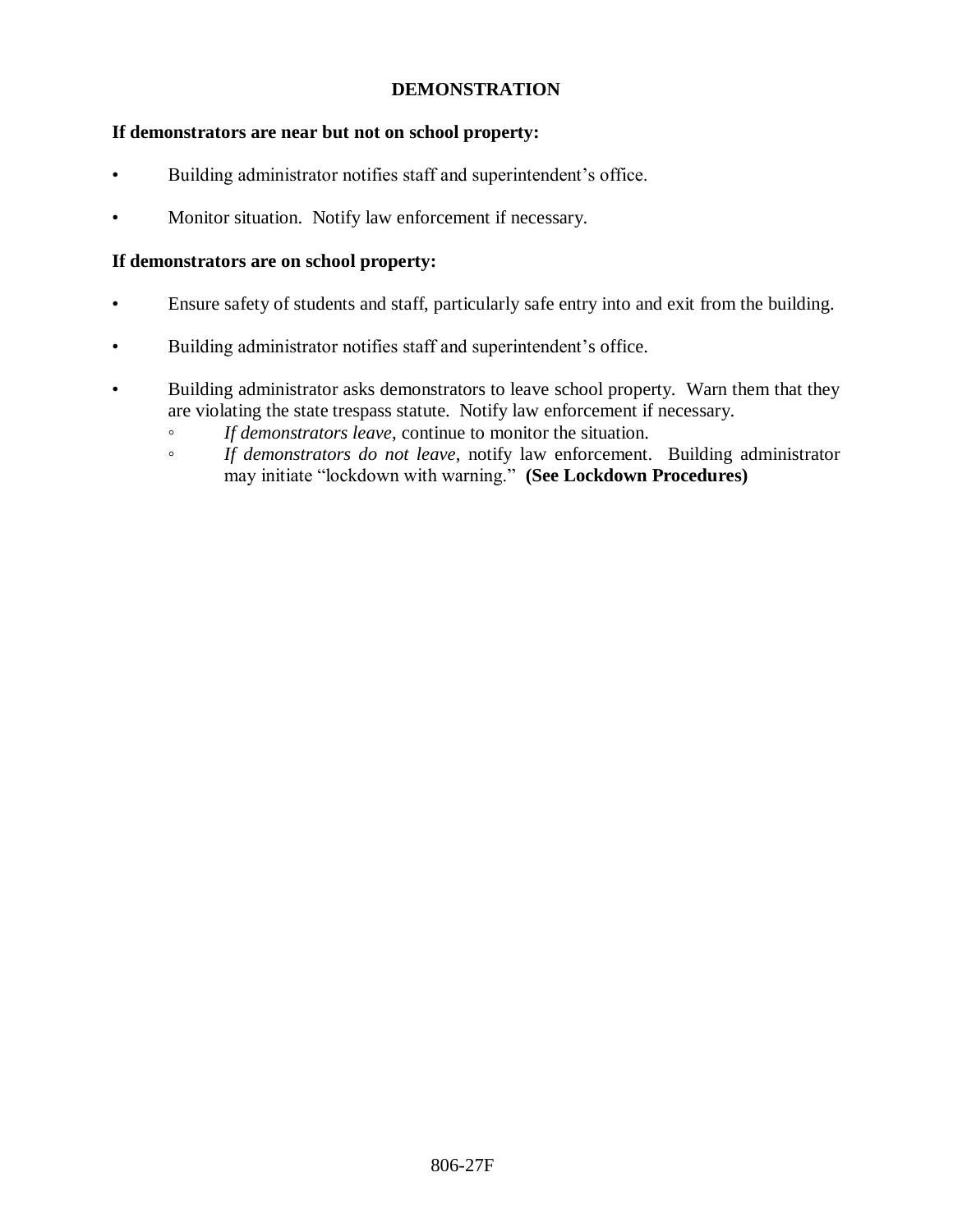## **DEMONSTRATION**

# **If demonstrators are near but not on school property:**

- Building administrator notifies staff and superintendent's office.
- Monitor situation. Notify law enforcement if necessary.

# **If demonstrators are on school property:**

- Ensure safety of students and staff, particularly safe entry into and exit from the building.
- Building administrator notifies staff and superintendent's office.
- Building administrator asks demonstrators to leave school property. Warn them that they are violating the state trespass statute. Notify law enforcement if necessary.
	- *If demonstrators leave*, continue to monitor the situation.
	- *If demonstrators do not leave*, notify law enforcement. Building administrator may initiate "lockdown with warning." **(See Lockdown Procedures)**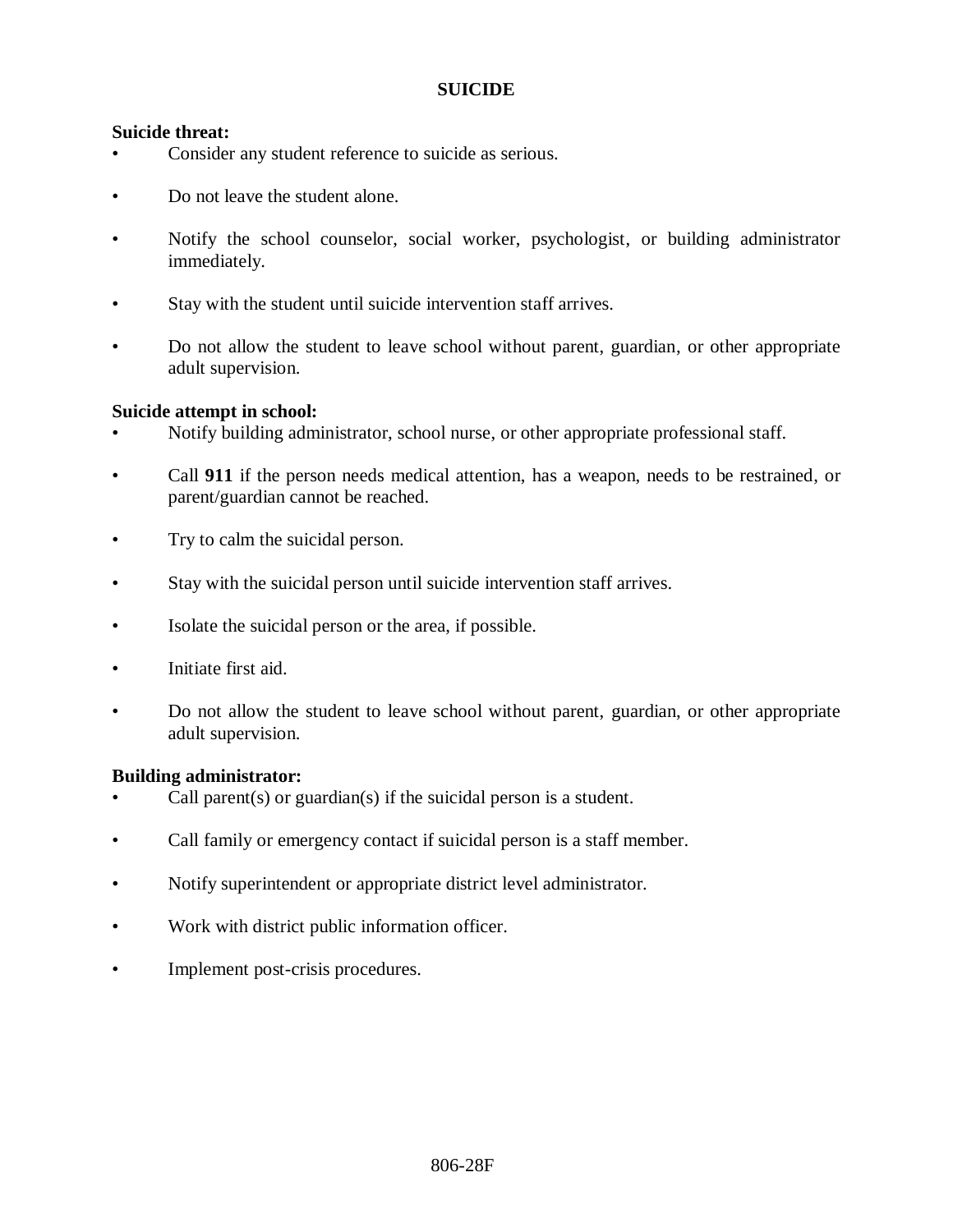### **SUICIDE**

### **Suicide threat:**

- Consider any student reference to suicide as serious.
- Do not leave the student alone.
- Notify the school counselor, social worker, psychologist, or building administrator immediately.
- Stay with the student until suicide intervention staff arrives.
- Do not allow the student to leave school without parent, guardian, or other appropriate adult supervision.

### **Suicide attempt in school:**

- Notify building administrator, school nurse, or other appropriate professional staff.
- Call **911** if the person needs medical attention, has a weapon, needs to be restrained, or parent/guardian cannot be reached.
- Try to calm the suicidal person.
- Stay with the suicidal person until suicide intervention staff arrives.
- Isolate the suicidal person or the area, if possible.
- Initiate first aid.
- Do not allow the student to leave school without parent, guardian, or other appropriate adult supervision.

### **Building administrator:**

- Call parent(s) or guardian(s) if the suicidal person is a student.
- Call family or emergency contact if suicidal person is a staff member.
- Notify superintendent or appropriate district level administrator.
- Work with district public information officer.
- Implement post-crisis procedures.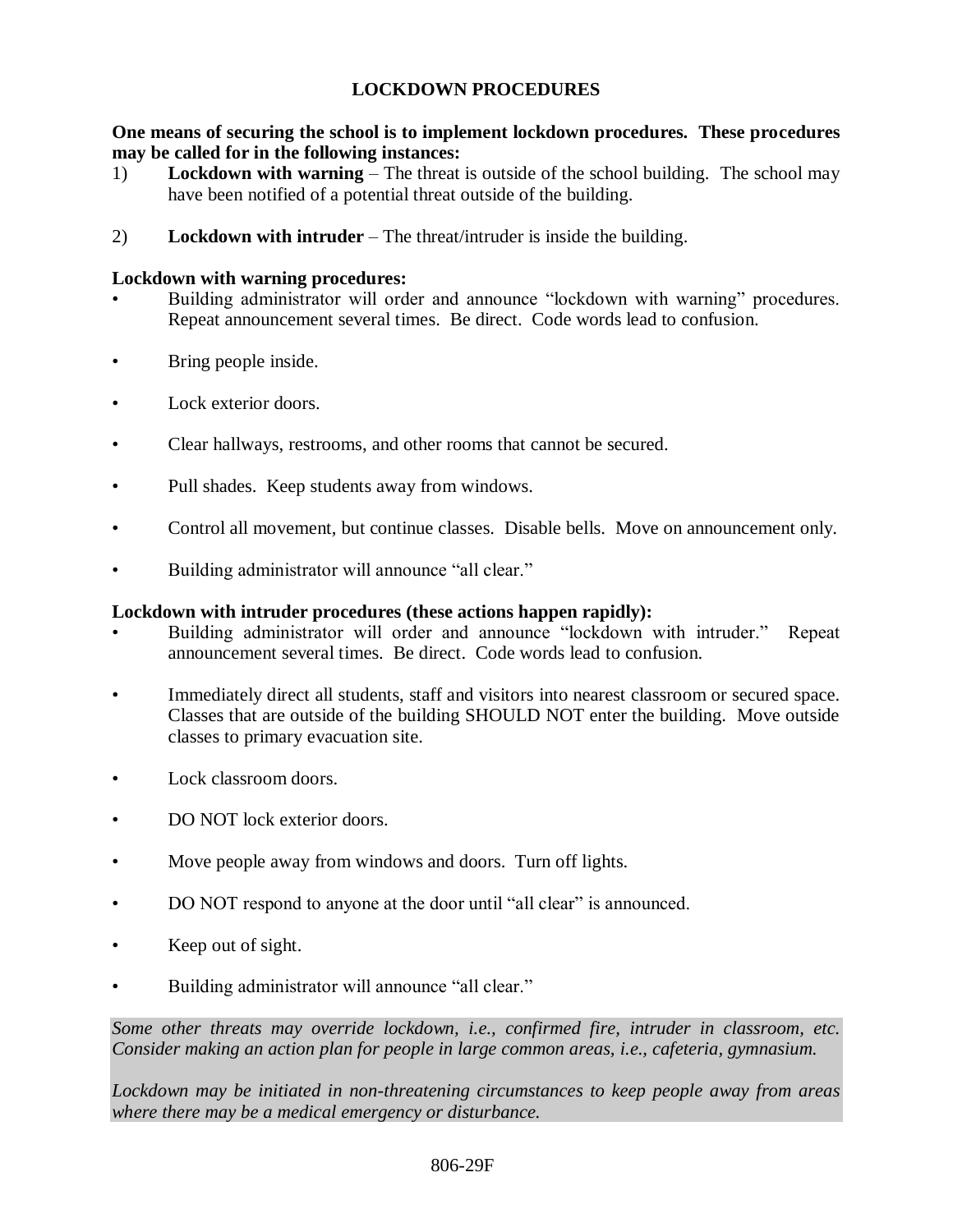## **LOCKDOWN PROCEDURES**

## **One means of securing the school is to implement lockdown procedures. These procedures may be called for in the following instances:**

- 1) **Lockdown with warning** The threat is outside of the school building. The school may have been notified of a potential threat outside of the building.
- 2) **Lockdown with intruder** The threat/intruder is inside the building.

## **Lockdown with warning procedures:**

- Building administrator will order and announce "lockdown with warning" procedures. Repeat announcement several times. Be direct. Code words lead to confusion.
- Bring people inside.
- Lock exterior doors.
- Clear hallways, restrooms, and other rooms that cannot be secured.
- Pull shades. Keep students away from windows.
- Control all movement, but continue classes. Disable bells. Move on announcement only.
- Building administrator will announce "all clear."

## **Lockdown with intruder procedures (these actions happen rapidly):**

- Building administrator will order and announce "lockdown with intruder." Repeat announcement several times. Be direct. Code words lead to confusion.
- Immediately direct all students, staff and visitors into nearest classroom or secured space. Classes that are outside of the building SHOULD NOT enter the building. Move outside classes to primary evacuation site.
- Lock classroom doors.
- DO NOT lock exterior doors.
- Move people away from windows and doors. Turn off lights.
- DO NOT respond to anyone at the door until "all clear" is announced.
- Keep out of sight.
- Building administrator will announce "all clear."

*Some other threats may override lockdown, i.e., confirmed fire, intruder in classroom, etc. Consider making an action plan for people in large common areas, i.e., cafeteria, gymnasium.*

*Lockdown may be initiated in non-threatening circumstances to keep people away from areas where there may be a medical emergency or disturbance.*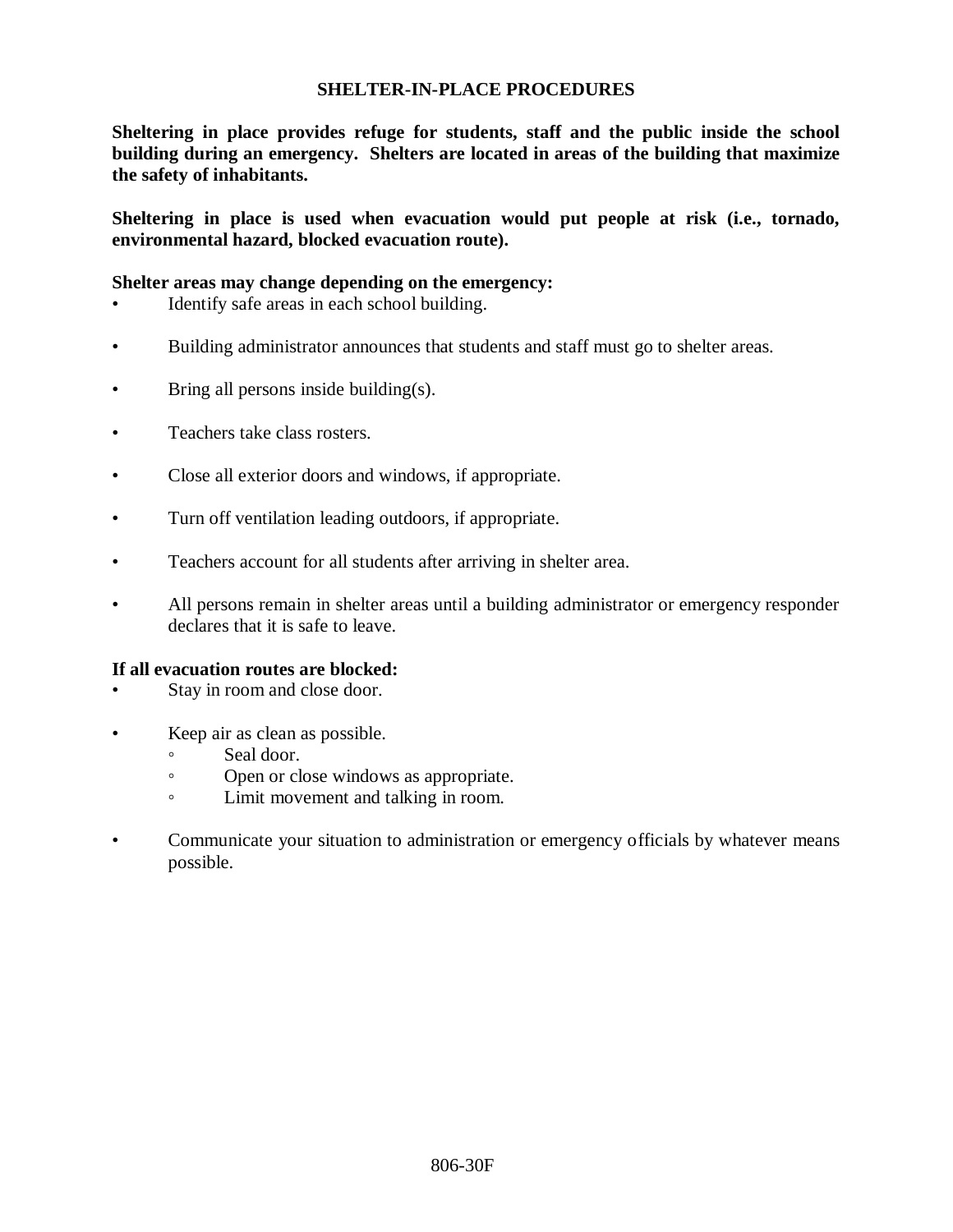### **SHELTER-IN-PLACE PROCEDURES**

**Sheltering in place provides refuge for students, staff and the public inside the school building during an emergency. Shelters are located in areas of the building that maximize the safety of inhabitants.**

**Sheltering in place is used when evacuation would put people at risk (i.e., tornado, environmental hazard, blocked evacuation route).**

#### **Shelter areas may change depending on the emergency:**

- Identify safe areas in each school building.
- Building administrator announces that students and staff must go to shelter areas.
- Bring all persons inside building(s).
- Teachers take class rosters.
- Close all exterior doors and windows, if appropriate.
- Turn off ventilation leading outdoors, if appropriate.
- Teachers account for all students after arriving in shelter area.
- All persons remain in shelter areas until a building administrator or emergency responder declares that it is safe to leave.

#### **If all evacuation routes are blocked:**

- Stay in room and close door.
- Keep air as clean as possible.
	- Seal door.
	- Open or close windows as appropriate.
	- Limit movement and talking in room.
- Communicate your situation to administration or emergency officials by whatever means possible.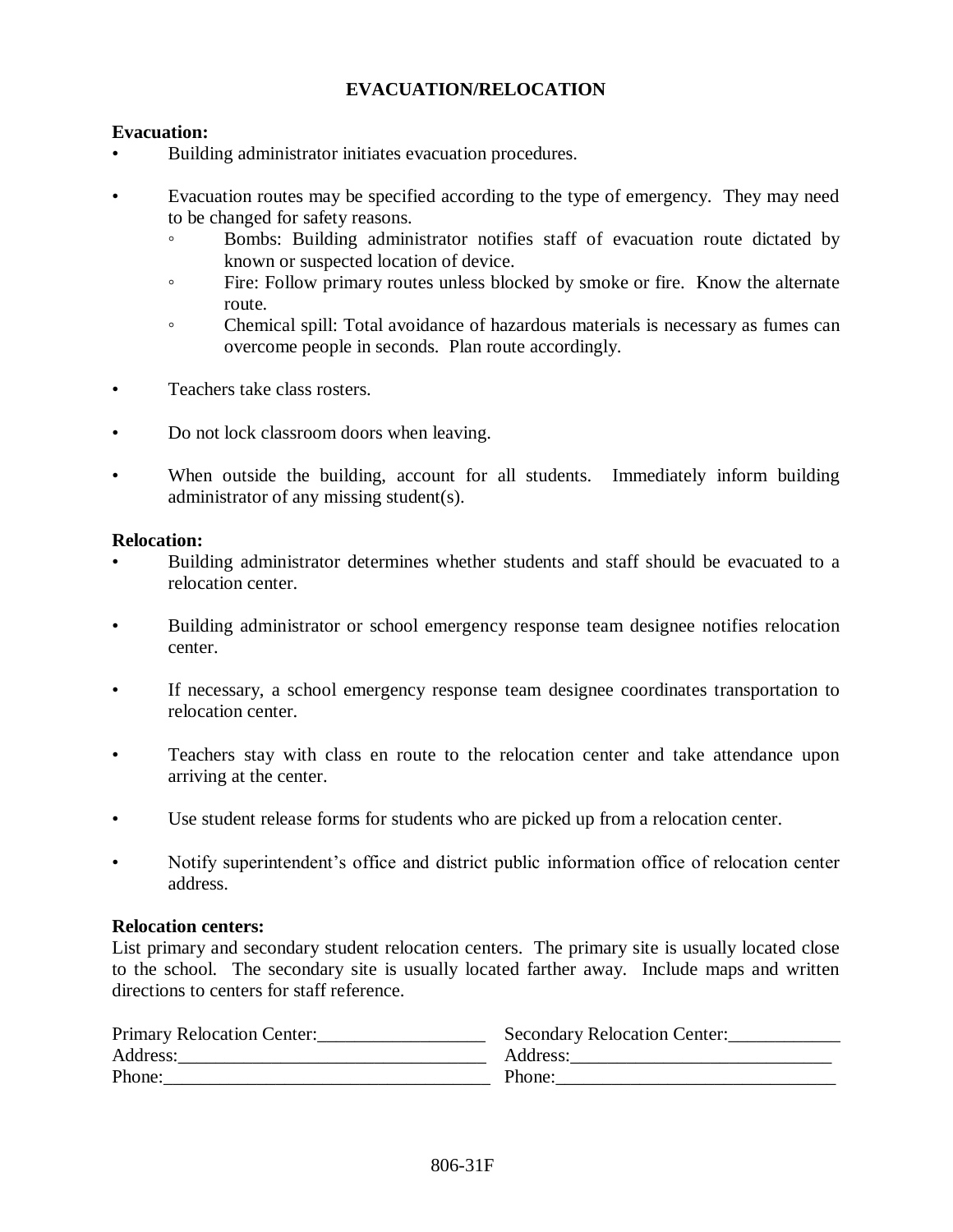# **EVACUATION/RELOCATION**

### **Evacuation:**

- Building administrator initiates evacuation procedures.
- Evacuation routes may be specified according to the type of emergency. They may need to be changed for safety reasons.
	- Bombs: Building administrator notifies staff of evacuation route dictated by known or suspected location of device.
	- Fire: Follow primary routes unless blocked by smoke or fire. Know the alternate route.
	- Chemical spill: Total avoidance of hazardous materials is necessary as fumes can overcome people in seconds. Plan route accordingly.
- Teachers take class rosters.
- Do not lock classroom doors when leaving.
- When outside the building, account for all students. Immediately inform building administrator of any missing student(s).

#### **Relocation:**

- Building administrator determines whether students and staff should be evacuated to a relocation center.
- Building administrator or school emergency response team designee notifies relocation center.
- If necessary, a school emergency response team designee coordinates transportation to relocation center.
- Teachers stay with class en route to the relocation center and take attendance upon arriving at the center.
- Use student release forms for students who are picked up from a relocation center.
- Notify superintendent's office and district public information office of relocation center address.

#### **Relocation centers:**

List primary and secondary student relocation centers. The primary site is usually located close to the school. The secondary site is usually located farther away. Include maps and written directions to centers for staff reference.

| Primary Relocation Center: | Secondary Relocation Center: |
|----------------------------|------------------------------|
| Address:                   | Address:                     |
| Phone:                     | Phone:                       |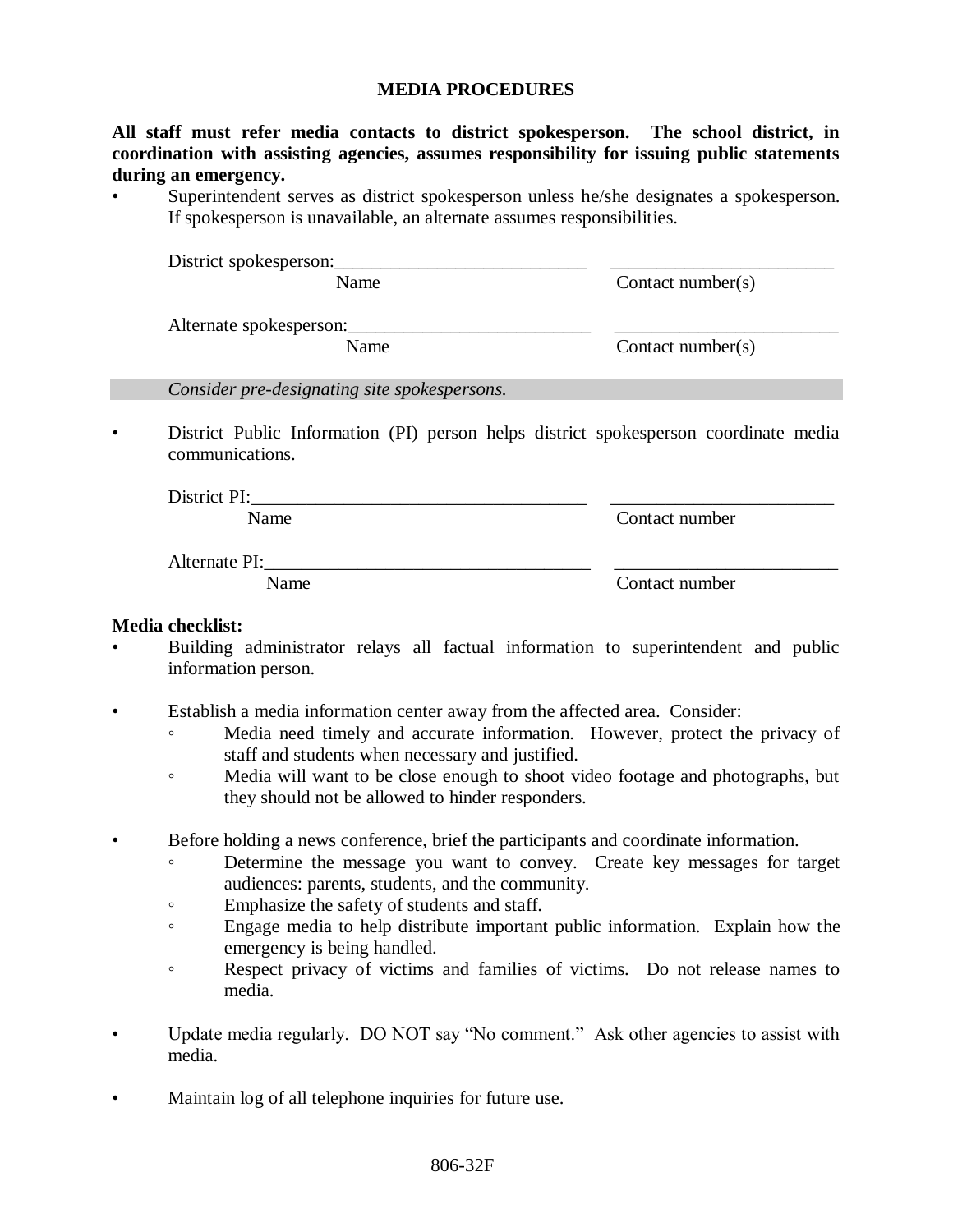#### **MEDIA PROCEDURES**

**All staff must refer media contacts to district spokesperson. The school district, in coordination with assisting agencies, assumes responsibility for issuing public statements during an emergency.**

Superintendent serves as district spokesperson unless he/she designates a spokesperson. If spokesperson is unavailable, an alternate assumes responsibilities.

| District spokesperson:  |                       |
|-------------------------|-----------------------|
| Name                    | Contact number( $s$ ) |
| Alternate spokesperson: |                       |
| Name                    | Contact number( $s$ ) |
|                         |                       |

*Consider pre-designating site spokespersons.*

• District Public Information (PI) person helps district spokesperson coordinate media communications.

| District PI: |                |
|--------------|----------------|
| Name         | Contact number |

Alternate PI: Name Contact number

### **Media checklist:**

- Building administrator relays all factual information to superintendent and public information person.
- Establish a media information center away from the affected area. Consider:
	- Media need timely and accurate information. However, protect the privacy of staff and students when necessary and justified.
	- Media will want to be close enough to shoot video footage and photographs, but they should not be allowed to hinder responders.
- Before holding a news conference, brief the participants and coordinate information.
	- Determine the message you want to convey. Create key messages for target audiences: parents, students, and the community.
	- Emphasize the safety of students and staff.
	- Engage media to help distribute important public information. Explain how the emergency is being handled.
	- Respect privacy of victims and families of victims. Do not release names to media.
- Update media regularly. DO NOT say "No comment." Ask other agencies to assist with media.
- Maintain log of all telephone inquiries for future use.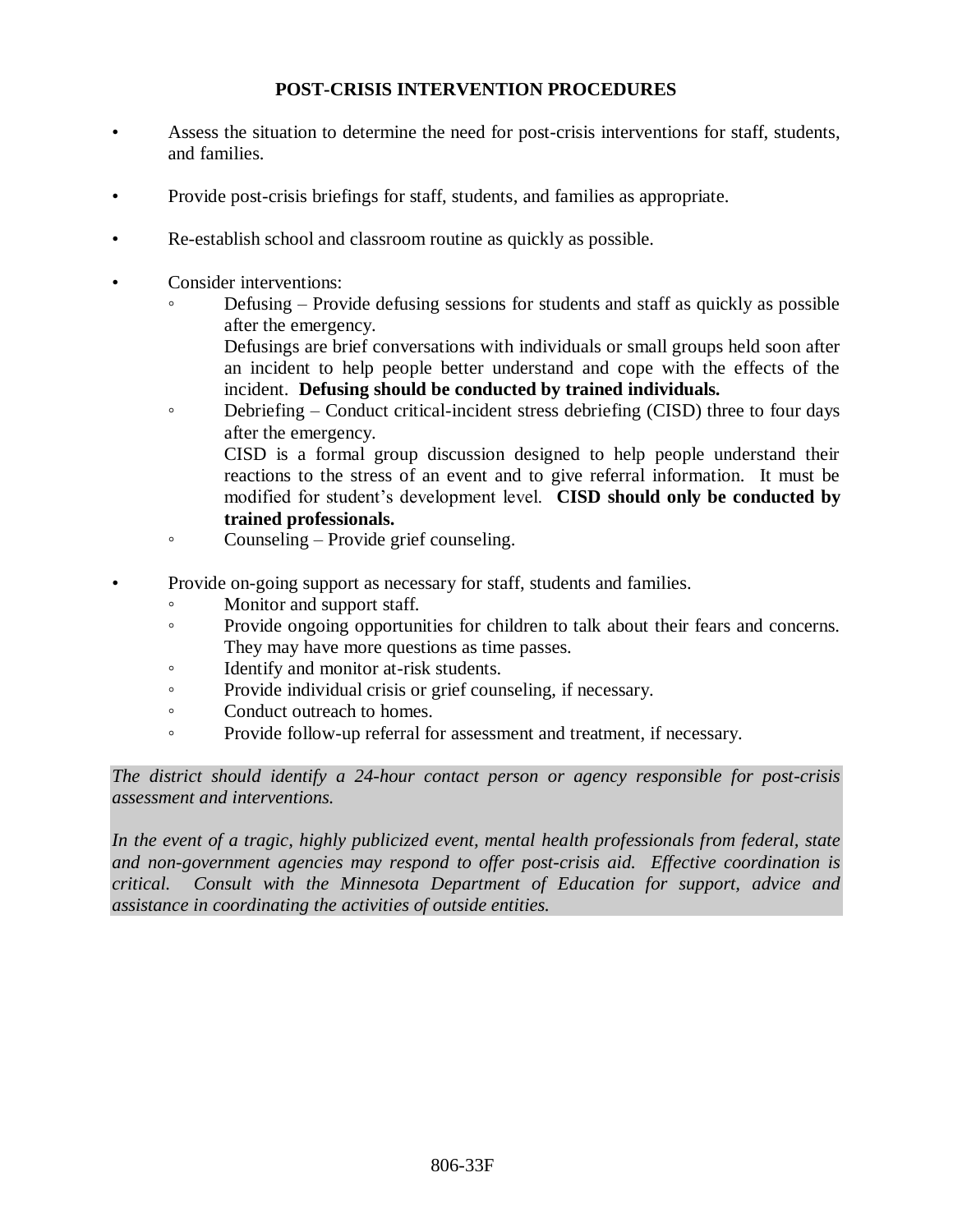# **POST-CRISIS INTERVENTION PROCEDURES**

- Assess the situation to determine the need for post-crisis interventions for staff, students, and families.
- Provide post-crisis briefings for staff, students, and families as appropriate.
- Re-establish school and classroom routine as quickly as possible.
- Consider interventions:
	- Defusing Provide defusing sessions for students and staff as quickly as possible after the emergency.

Defusings are brief conversations with individuals or small groups held soon after an incident to help people better understand and cope with the effects of the incident. **Defusing should be conducted by trained individuals.**

• Debriefing – Conduct critical-incident stress debriefing (CISD) three to four days after the emergency. CISD is a formal group discussion designed to help people understand their

reactions to the stress of an event and to give referral information. It must be modified for student's development level. **CISD should only be conducted by trained professionals.**

- Counseling Provide grief counseling.
- Provide on-going support as necessary for staff, students and families.
	- Monitor and support staff.
	- Provide ongoing opportunities for children to talk about their fears and concerns. They may have more questions as time passes.
	- Identify and monitor at-risk students.
	- Provide individual crisis or grief counseling, if necessary.
	- Conduct outreach to homes.
	- Provide follow-up referral for assessment and treatment, if necessary.

*The district should identify a 24-hour contact person or agency responsible for post-crisis assessment and interventions.*

*In the event of a tragic, highly publicized event, mental health professionals from federal, state and non-government agencies may respond to offer post-crisis aid. Effective coordination is critical. Consult with the Minnesota Department of Education for support, advice and assistance in coordinating the activities of outside entities.*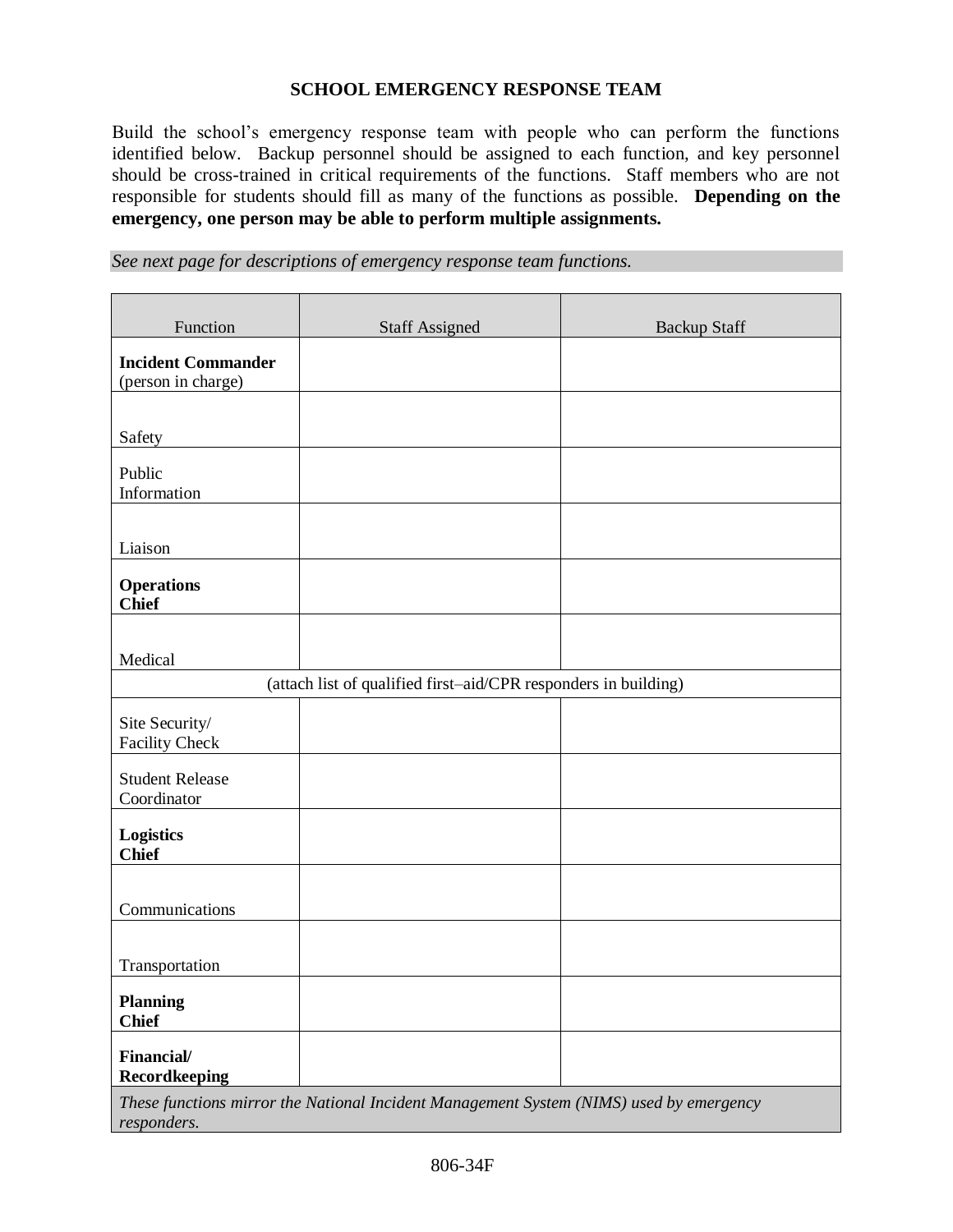### **SCHOOL EMERGENCY RESPONSE TEAM**

Build the school's emergency response team with people who can perform the functions identified below. Backup personnel should be assigned to each function, and key personnel should be cross-trained in critical requirements of the functions. Staff members who are not responsible for students should fill as many of the functions as possible. **Depending on the emergency, one person may be able to perform multiple assignments.**

*See next page for descriptions of emergency response team functions.*

| Function                                        | <b>Staff Assigned</b>                                                                   | <b>Backup Staff</b> |
|-------------------------------------------------|-----------------------------------------------------------------------------------------|---------------------|
| <b>Incident Commander</b><br>(person in charge) |                                                                                         |                     |
|                                                 |                                                                                         |                     |
| Safety                                          |                                                                                         |                     |
| Public<br>Information                           |                                                                                         |                     |
| Liaison                                         |                                                                                         |                     |
| <b>Operations</b><br><b>Chief</b>               |                                                                                         |                     |
|                                                 |                                                                                         |                     |
| Medical                                         |                                                                                         |                     |
|                                                 | (attach list of qualified first-aid/CPR responders in building)                         |                     |
| Site Security/<br><b>Facility Check</b>         |                                                                                         |                     |
| <b>Student Release</b><br>Coordinator           |                                                                                         |                     |
| <b>Logistics</b><br><b>Chief</b>                |                                                                                         |                     |
| Communications                                  |                                                                                         |                     |
|                                                 |                                                                                         |                     |
| Transportation                                  |                                                                                         |                     |
| <b>Planning</b><br><b>Chief</b>                 |                                                                                         |                     |
| Financial/<br>Recordkeeping                     |                                                                                         |                     |
|                                                 | These functions mirror the National Incident Management System (NIMS) used by emergency |                     |

*responders.*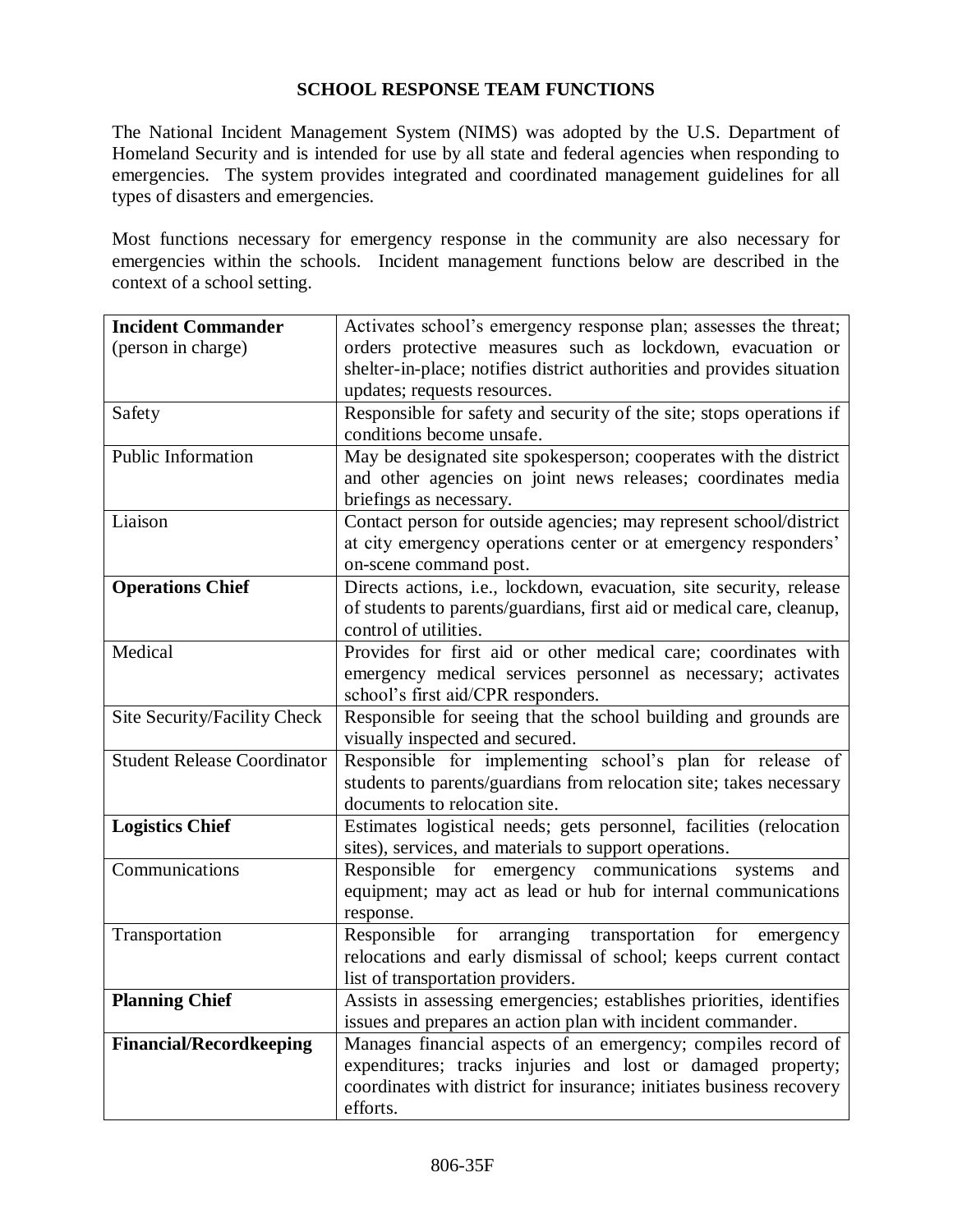## **SCHOOL RESPONSE TEAM FUNCTIONS**

The National Incident Management System (NIMS) was adopted by the U.S. Department of Homeland Security and is intended for use by all state and federal agencies when responding to emergencies. The system provides integrated and coordinated management guidelines for all types of disasters and emergencies.

Most functions necessary for emergency response in the community are also necessary for emergencies within the schools. Incident management functions below are described in the context of a school setting.

| <b>Incident Commander</b>          | Activates school's emergency response plan; assesses the threat;       |
|------------------------------------|------------------------------------------------------------------------|
| (person in charge)                 | orders protective measures such as lockdown, evacuation or             |
|                                    | shelter-in-place; notifies district authorities and provides situation |
|                                    | updates; requests resources.                                           |
| Safety                             | Responsible for safety and security of the site; stops operations if   |
|                                    | conditions become unsafe.                                              |
| Public Information                 | May be designated site spokesperson; cooperates with the district      |
|                                    | and other agencies on joint news releases; coordinates media           |
|                                    | briefings as necessary.                                                |
| Liaison                            | Contact person for outside agencies; may represent school/district     |
|                                    | at city emergency operations center or at emergency responders'        |
|                                    | on-scene command post.                                                 |
| <b>Operations Chief</b>            | Directs actions, i.e., lockdown, evacuation, site security, release    |
|                                    | of students to parents/guardians, first aid or medical care, cleanup,  |
|                                    | control of utilities.                                                  |
| Medical                            | Provides for first aid or other medical care; coordinates with         |
|                                    | emergency medical services personnel as necessary; activates           |
|                                    | school's first aid/CPR responders.                                     |
| Site Security/Facility Check       | Responsible for seeing that the school building and grounds are        |
|                                    | visually inspected and secured.                                        |
| <b>Student Release Coordinator</b> | Responsible for implementing school's plan for release of              |
|                                    | students to parents/guardians from relocation site; takes necessary    |
|                                    | documents to relocation site.                                          |
| <b>Logistics Chief</b>             | Estimates logistical needs; gets personnel, facilities (relocation     |
|                                    | sites), services, and materials to support operations.                 |
| Communications                     | Responsible for emergency communications systems and                   |
|                                    | equipment; may act as lead or hub for internal communications          |
|                                    | response.                                                              |
| Transportation                     | Responsible<br>arranging transportation for emergency<br>for           |
|                                    | relocations and early dismissal of school; keeps current contact       |
|                                    | list of transportation providers.                                      |
| <b>Planning Chief</b>              | Assists in assessing emergencies; establishes priorities, identifies   |
|                                    | issues and prepares an action plan with incident commander.            |
| <b>Financial/Recordkeeping</b>     | Manages financial aspects of an emergency; compiles record of          |
|                                    | expenditures; tracks injuries and lost or damaged property;            |
|                                    | coordinates with district for insurance; initiates business recovery   |
|                                    | efforts.                                                               |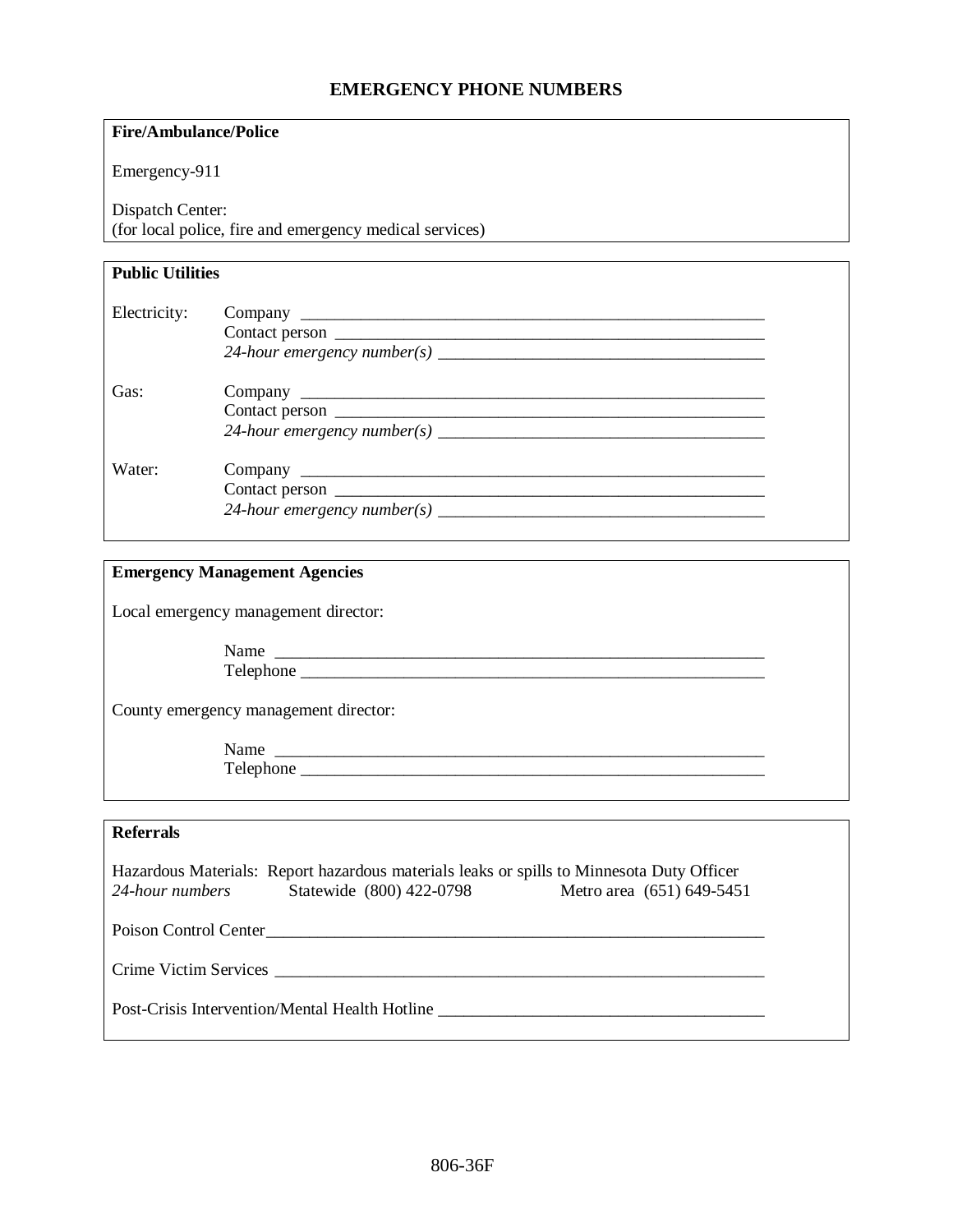### **EMERGENCY PHONE NUMBERS**

#### **Fire/Ambulance/Police**

Emergency-911

Dispatch Center:

(for local police, fire and emergency medical services)

#### **Public Utilities**

| Electricity: |                                           |  |
|--------------|-------------------------------------------|--|
| Gas:         |                                           |  |
| Water:       | 24-hour emergency number(s) $\frac{1}{2}$ |  |

#### **Emergency Management Agencies**

Local emergency management director:

Name Telephone \_\_\_\_\_\_\_\_\_\_\_\_\_\_\_\_\_\_\_\_\_\_\_\_\_\_\_\_\_\_\_\_\_\_\_\_\_\_\_\_\_\_\_\_\_\_\_\_\_\_\_\_\_\_

County emergency management director:

Name \_\_\_\_\_\_\_\_\_\_\_\_\_\_\_\_\_\_\_\_\_\_\_\_\_\_\_\_\_\_\_\_\_\_\_\_\_\_\_\_\_\_\_\_\_\_\_\_\_\_\_\_\_\_\_\_\_ Telephone \_\_\_\_\_\_\_\_\_\_\_\_\_\_\_\_\_\_\_\_\_\_\_\_\_\_\_\_\_\_\_\_\_\_\_\_\_\_\_\_\_\_\_\_\_\_\_\_\_\_\_\_\_\_

#### **Referrals**

Hazardous Materials: Report hazardous materials leaks or spills to Minnesota Duty Officer *24-hour numbers* Statewide (800) 422-0798 Metro area (651) 649-5451

Poison Control Center\_\_\_\_\_\_\_\_\_\_\_\_\_\_\_\_\_\_\_\_\_\_\_\_\_\_\_\_\_\_\_\_\_\_\_\_\_\_\_\_\_\_\_\_\_\_\_\_\_\_\_\_\_\_\_\_\_\_

Crime Victim Services \_\_\_\_\_\_\_\_\_\_\_\_\_\_\_\_\_\_\_\_\_\_\_\_\_\_\_\_\_\_\_\_\_\_\_\_\_\_\_\_\_\_\_\_\_\_\_\_\_\_\_\_\_\_\_\_\_

Post-Crisis Intervention/Mental Health Hotline \_\_\_\_\_\_\_\_\_\_\_\_\_\_\_\_\_\_\_\_\_\_\_\_\_\_\_\_\_\_\_\_\_